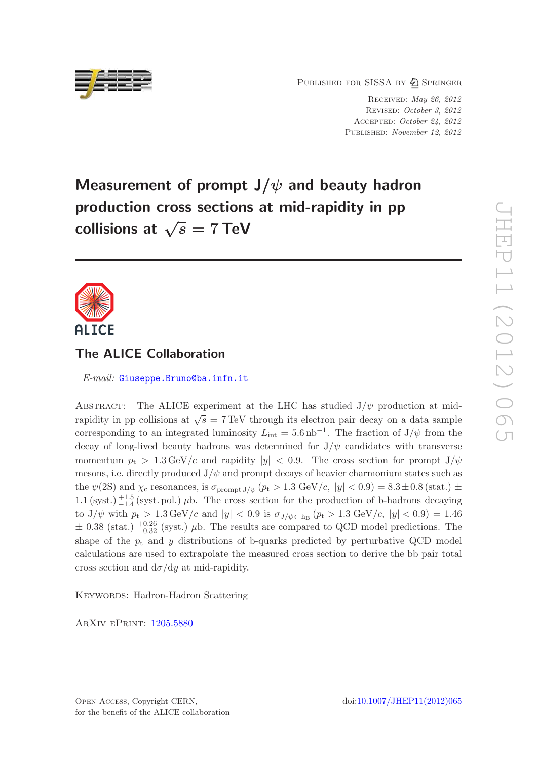PUBLISHED FOR SISSA BY 2 SPRINGER

Received: May 26, 2012 Revised: October 3, 2012 Accepted: October 24, 2012 Published: November 12, 2012

# Measurement of prompt  $J/\psi$  and beauty hadron production cross sections at mid-rapidity in pp collisions at  $\sqrt{s} = 7$  TeV



## The ALICE Collaboration

E-mail: [Giuseppe.Bruno@ba.infn.it](mailto:Giuseppe.Bruno@ba.infn.it)

ABSTRACT: The ALICE experiment at the LHC has studied  $J/\psi$  production at midrapidity in pp collisions at  $\sqrt{s} = 7 \,\text{TeV}$  through its electron pair decay on a data sample corresponding to an integrated luminosity  $L_{\text{int}} = 5.6 \text{ nb}^{-1}$ . The fraction of J/ $\psi$  from the decay of long-lived beauty hadrons was determined for  $J/\psi$  candidates with transverse momentum  $p_t > 1.3 \,\text{GeV}/c$  and rapidity  $|y| < 0.9$ . The cross section for prompt  $J/\psi$ mesons, i.e. directly produced  $J/\psi$  and prompt decays of heavier charmonium states such as the  $\psi(2S)$  and  $\chi_c$  resonances, is  $\sigma_{\text{prompt J/\psi}}(p_t > 1.3 \text{ GeV}/c, |y| < 0.9) = 8.3 \pm 0.8 \text{ (stat.)} \pm 0.9 \text{ (syst.)}$ 1.1 (syst.) $^{+1.5}_{-1.4}$  (syst. pol.)  $\mu$ b. The cross section for the production of b-hadrons decaying to  $J/\psi$  with  $p_t > 1.3 \,\text{GeV}/c$  and  $|y| < 0.9$  is  $\sigma_{J/\psi \leftarrow h_B} (p_t > 1.3 \,\text{GeV}/c, |y| < 0.9) = 1.46$  $\pm$  0.38 (stat.)  $^{+0.26}_{-0.32}$  (syst.)  $\mu$ b. The results are compared to QCD model predictions. The shape of the  $p_t$  and y distributions of b-quarks predicted by perturbative QCD model calculations are used to extrapolate the measured cross section to derive the  $b\overline{b}$  pair total cross section and  $d\sigma/dy$  at mid-rapidity.

KEYWORDS: Hadron-Hadron Scattering

ArXiv ePrint: [1205.5880](http://arxiv.org/abs/1205.5880)

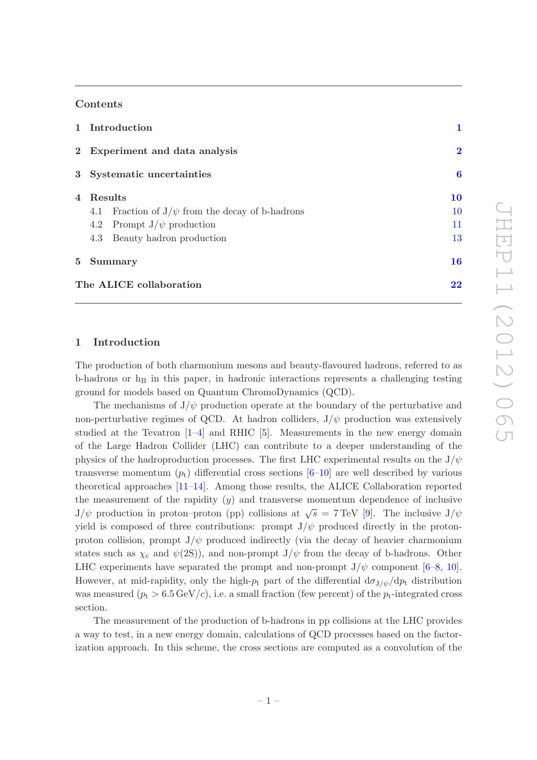#### Contents

|                         | 1 Introduction                                          |               |  |  |  |
|-------------------------|---------------------------------------------------------|---------------|--|--|--|
|                         | 2 Experiment and data analysis                          | $\bf{2}$<br>6 |  |  |  |
|                         | 3 Systematic uncertainties                              |               |  |  |  |
|                         | 4 Results                                               | 10            |  |  |  |
|                         | Fraction of $J/\psi$ from the decay of b-hadrons<br>4.1 | 10            |  |  |  |
|                         | 4.2 Prompt $J/\psi$ production                          | 11            |  |  |  |
|                         | Beauty hadron production<br>4.3                         | 13            |  |  |  |
|                         | 5 Summary                                               |               |  |  |  |
| The ALICE collaboration |                                                         |               |  |  |  |

#### <span id="page-1-0"></span>1 Introduction

The production of both charmonium mesons and beauty-flavoured hadrons, referred to as  $b$ -hadrons or  $h$ <sub>B</sub> in this paper, in hadronic interactions represents a challenging testing ground for models based on Quantum ChromoDynamics (QCD).

The mechanisms of  $J/\psi$  production operate at the boundary of the perturbative and non-perturbative regimes of QCD. At hadron colliders,  $J/\psi$  production was extensively studied at the Tevatron  $[1-4]$  and RHIC  $[5]$ . Measurements in the new energy domain of the Large Hadron Collider (LHC) can contribute to a deeper understanding of the physics of the hadroproduction processes. The first LHC experimental results on the  $J/\psi$ transverse momentum  $(p_t)$  differential cross sections  $[6–10]$  $[6–10]$  are well described by various theoretical approaches [\[11](#page-19-4)[–14](#page-19-5)]. Among those results, the ALICE Collaboration reported the measurement of the rapidity  $(y)$  and transverse momentum dependence of inclusive  $J/\psi$  production in proton–proton (pp) collisions at  $\sqrt{s} = 7 \text{ TeV}$  [\[9](#page-19-6)]. The inclusive  $J/\psi$ yield is composed of three contributions: prompt  $J/\psi$  produced directly in the protonproton collision, prompt  $J/\psi$  produced indirectly (via the decay of heavier charmonium states such as  $\chi_c$  and  $\psi(2S)$ , and non-prompt J/ $\psi$  from the decay of b-hadrons. Other LHC experiments have separated the prompt and non-prompt  $J/\psi$  component [\[6](#page-19-2)[–8,](#page-19-7) [10\]](#page-19-3). However, at mid-rapidity, only the high- $p_t$  part of the differential  $d\sigma_{J/\psi}/dp_t$  distribution was measured  $(p_t > 6.5 \,\text{GeV}/c)$ , i.e. a small fraction (few percent) of the  $p_t$ -integrated cross section.

The measurement of the production of b-hadrons in pp collisions at the LHC provides a way to test, in a new energy domain, calculations of QCD processes based on the factorization approach. In this scheme, the cross sections are computed as a convolution of the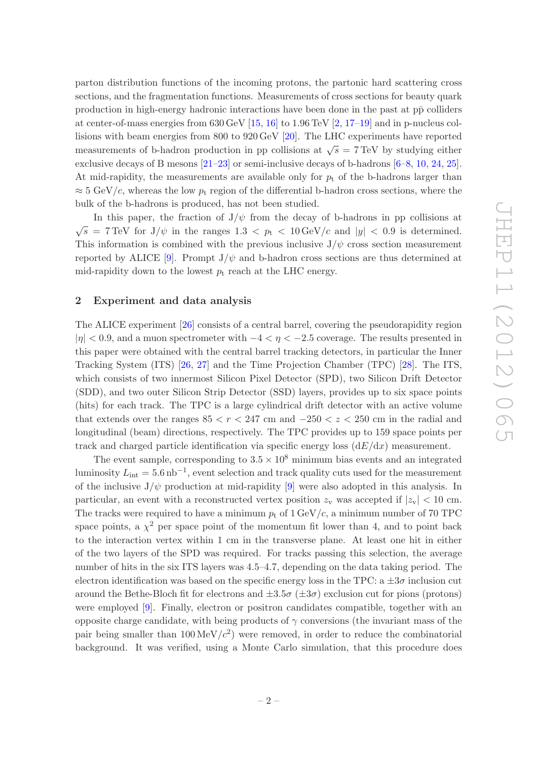parton distribution functions of the incoming protons, the partonic hard scattering cross sections, and the fragmentation functions. Measurements of cross sections for beauty quark production in high-energy hadronic interactions have been done in the past at p $\bar{p}$  colliders at center-of-mass energies from  $630 \text{ GeV}$  [\[15,](#page-19-8) [16](#page-19-9)] to  $1.96 \text{ TeV}$  [\[2](#page-18-1), [17](#page-19-10)[–19](#page-19-11)] and in p-nucleus collisions with beam energies from 800 to 920 GeV [\[20\]](#page-20-0). The LHC experiments have reported measurements of b-hadron production in pp collisions at  $\sqrt{s} = 7 \,\text{TeV}$  by studying either exclusive decays of B mesons [\[21](#page-20-1)[–23](#page-20-2)] or semi-inclusive decays of b-hadrons [\[6](#page-19-2)[–8](#page-19-7), [10](#page-19-3), [24,](#page-20-3) [25\]](#page-20-4). At mid-rapidity, the measurements are available only for  $p_t$  of the b-hadrons larger than  $\approx$  5 GeV/c, whereas the low  $p_t$  region of the differential b-hadron cross sections, where the bulk of the b-hadrons is produced, has not been studied.

In this paper, the fraction of  $J/\psi$  from the decay of b-hadrons in pp collisions at  $\sqrt{s}$  = 7 TeV for J/ $\psi$  in the ranges 1.3 <  $p_t$  < 10 GeV/c and |y| < 0.9 is determined. This information is combined with the previous inclusive  $J/\psi$  cross section measurement reported by ALICE [\[9\]](#page-19-6). Prompt  $J/\psi$  and b-hadron cross sections are thus determined at mid-rapidity down to the lowest  $p_t$  reach at the LHC energy.

#### <span id="page-2-0"></span>2 Experiment and data analysis

The ALICE experiment [\[26\]](#page-20-5) consists of a central barrel, covering the pseudorapidity region  $|\eta| < 0.9$ , and a muon spectrometer with  $-4 < \eta < -2.5$  coverage. The results presented in this paper were obtained with the central barrel tracking detectors, in particular the Inner Tracking System (ITS) [\[26](#page-20-5), [27](#page-20-6)] and the Time Projection Chamber (TPC) [\[28](#page-20-7)]. The ITS, which consists of two innermost Silicon Pixel Detector (SPD), two Silicon Drift Detector (SDD), and two outer Silicon Strip Detector (SSD) layers, provides up to six space points (hits) for each track. The TPC is a large cylindrical drift detector with an active volume that extends over the ranges  $85 < r < 247$  cm and  $-250 < z < 250$  cm in the radial and longitudinal (beam) directions, respectively. The TPC provides up to 159 space points per track and charged particle identification via specific energy loss  $(dE/dx)$  measurement.

The event sample, corresponding to  $3.5 \times 10^8$  minimum bias events and an integrated luminosity  $L_{\text{int}} = 5.6 \text{ nb}^{-1}$ , event selection and track quality cuts used for the measurement of the inclusive  $J/\psi$  production at mid-rapidity [\[9\]](#page-19-6) were also adopted in this analysis. In particular, an event with a reconstructed vertex position  $z_v$  was accepted if  $|z_v| < 10$  cm. The tracks were required to have a minimum  $p_t$  of  $1 \text{ GeV}/c$ , a minimum number of 70 TPC space points, a  $\chi^2$  per space point of the momentum fit lower than 4, and to point back to the interaction vertex within 1 cm in the transverse plane. At least one hit in either of the two layers of the SPD was required. For tracks passing this selection, the average number of hits in the six ITS layers was 4.5–4.7, depending on the data taking period. The electron identification was based on the specific energy loss in the TPC: a  $\pm 3\sigma$  inclusion cut around the Bethe-Bloch fit for electrons and  $\pm 3.5\sigma$  ( $\pm 3\sigma$ ) exclusion cut for pions (protons) were employed [\[9](#page-19-6)]. Finally, electron or positron candidates compatible, together with an opposite charge candidate, with being products of  $\gamma$  conversions (the invariant mass of the pair being smaller than  $100 \,\text{MeV}/c^2$ ) were removed, in order to reduce the combinatorial background. It was verified, using a Monte Carlo simulation, that this procedure does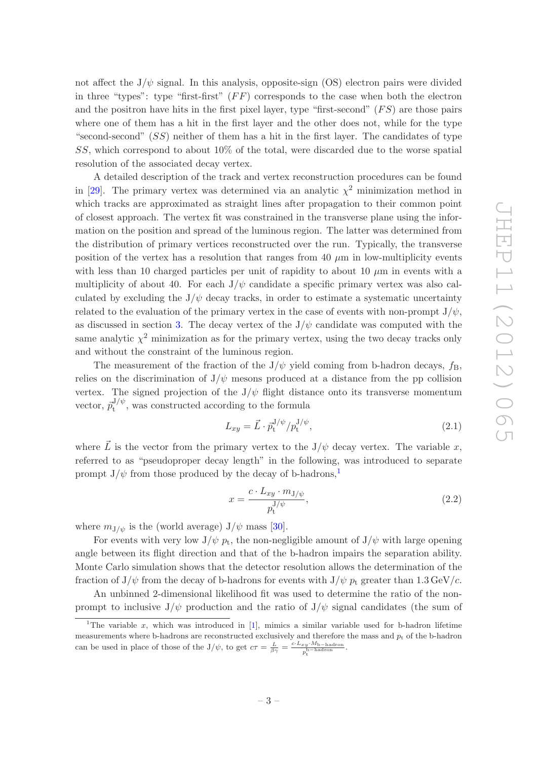not affect the  $J/\psi$  signal. In this analysis, opposite-sign (OS) electron pairs were divided in three "types": type "first-first"  $(FF)$  corresponds to the case when both the electron and the positron have hits in the first pixel layer, type "first-second"  $(FS)$  are those pairs where one of them has a hit in the first layer and the other does not, while for the type "second-second"  $(SS)$  neither of them has a hit in the first layer. The candidates of type SS, which correspond to about 10% of the total, were discarded due to the worse spatial resolution of the associated decay vertex.

A detailed description of the track and vertex reconstruction procedures can be found in [\[29\]](#page-20-8). The primary vertex was determined via an analytic  $\chi^2$  minimization method in which tracks are approximated as straight lines after propagation to their common point of closest approach. The vertex fit was constrained in the transverse plane using the information on the position and spread of the luminous region. The latter was determined from the distribution of primary vertices reconstructed over the run. Typically, the transverse position of the vertex has a resolution that ranges from 40  $\mu$ m in low-multiplicity events with less than 10 charged particles per unit of rapidity to about 10  $\mu$ m in events with a multiplicity of about 40. For each  $J/\psi$  candidate a specific primary vertex was also calculated by excluding the  $J/\psi$  decay tracks, in order to estimate a systematic uncertainty related to the evaluation of the primary vertex in the case of events with non-prompt  $J/\psi$ . as discussed in section [3.](#page-6-0) The decay vertex of the  $J/\psi$  candidate was computed with the same analytic  $\chi^2$  minimization as for the primary vertex, using the two decay tracks only and without the constraint of the luminous region.

The measurement of the fraction of the J/ $\psi$  yield coming from b-hadron decays,  $f_B$ , relies on the discrimination of  $J/\psi$  mesons produced at a distance from the pp collision vertex. The signed projection of the  $J/\psi$  flight distance onto its transverse momentum vector,  $\vec{p}_{\rm t}^{{\mathrm J}/\psi}$  $t^{u/\psi}$ , was constructed according to the formula

$$
L_{xy} = \vec{L} \cdot \vec{p}_{t}^{J/\psi} / p_{t}^{J/\psi},\tag{2.1}
$$

where  $\vec{L}$  is the vector from the primary vertex to the J/ $\psi$  decay vertex. The variable x, referred to as "pseudoproper decay length" in the following, was introduced to separate prompt  $J/\psi$  from those produced by the decay of b-hadrons,<sup>[1](#page-3-0)</sup>

$$
x = \frac{c \cdot L_{xy} \cdot m_{J/\psi}}{p_t^{J/\psi}},\tag{2.2}
$$

where  $m_{J/\psi}$  is the (world average)  $J/\psi$  mass [\[30](#page-20-9)].

For events with very low  $J/\psi p_t$ , the non-negligible amount of  $J/\psi$  with large opening angle between its flight direction and that of the b-hadron impairs the separation ability. Monte Carlo simulation shows that the detector resolution allows the determination of the fraction of  $J/\psi$  from the decay of b-hadrons for events with  $J/\psi p_t$  greater than 1.3 GeV/c.

An unbinned 2-dimensional likelihood fit was used to determine the ratio of the nonprompt to inclusive  $J/\psi$  production and the ratio of  $J/\psi$  signal candidates (the sum of

<span id="page-3-0"></span><sup>&</sup>lt;sup>1</sup>The variable x, which was introduced in [\[1](#page-18-0)], mimics a similar variable used for b-hadron lifetime measurements where b-hadrons are reconstructed exclusively and therefore the mass and  $p_t$  of the b-hadron can be used in place of those of the J/ $\psi$ , to get  $c\tau = \frac{L}{\beta\gamma} = \frac{c \cdot L_{xy} \cdot M_{\text{b-hadron}}} {n^{\text{b-hadron}}}$  $\frac{y \cdot w_{\text{b-hadron}}}{p_{\text{t}}}$ .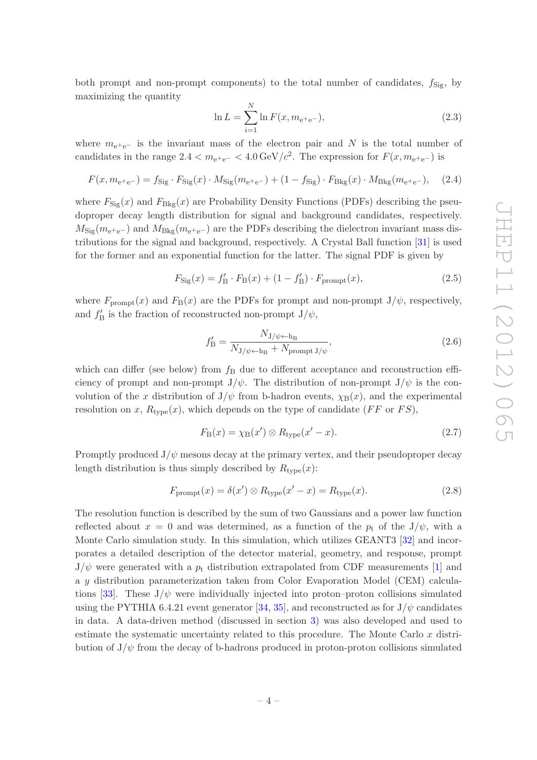both prompt and non-prompt components) to the total number of candidates,  $f_{\text{Sig}}$ , by maximizing the quantity

$$
\ln L = \sum_{i=1}^{N} \ln F(x, m_{e^+e^-}),
$$
\n(2.3)

where  $m_{e^+e^-}$  is the invariant mass of the electron pair and N is the total number of candidates in the range  $2.4 < m_{e^+e^-} < 4.0 \,\text{GeV}/c^2$ . The expression for  $F(x, m_{e^+e^-})$  is

$$
F(x, m_{e^+e^-}) = f_{\text{Sig}} \cdot F_{\text{Sig}}(x) \cdot M_{\text{Sig}}(m_{e^+e^-}) + (1 - f_{\text{Sig}}) \cdot F_{\text{Bkg}}(x) \cdot M_{\text{Bkg}}(m_{e^+e^-}), \quad (2.4)
$$

where  $F_{\text{Sig}}(x)$  and  $F_{\text{Bkg}}(x)$  are Probability Density Functions (PDFs) describing the pseudoproper decay length distribution for signal and background candidates, respectively.  $M_{\text{Sig}}(m_{e^+e^-})$  and  $M_{\text{Bkg}}(m_{e^+e^-})$  are the PDFs describing the dielectron invariant mass distributions for the signal and background, respectively. A Crystal Ball function [\[31\]](#page-20-10) is used for the former and an exponential function for the latter. The signal PDF is given by

$$
F_{\text{Sig}}(x) = f'_{\text{B}} \cdot F_{\text{B}}(x) + (1 - f'_{\text{B}}) \cdot F_{\text{prompt}}(x), \tag{2.5}
$$

where  $F_{\text{prompt}}(x)$  and  $F_{\text{B}}(x)$  are the PDFs for prompt and non-prompt J/ $\psi$ , respectively, and  $f'_{\text{B}}$  is the fraction of reconstructed non-prompt  $J/\psi$ ,

$$
f'_{\rm B} = \frac{N_{\rm J/\psi \leftarrow h_{\rm B}}}{N_{\rm J/\psi \leftarrow h_{\rm B}} + N_{\rm prompt \, J/\psi}},\tag{2.6}
$$

which can differ (see below) from  $f_B$  due to different acceptance and reconstruction efficiency of prompt and non-prompt  $J/\psi$ . The distribution of non-prompt  $J/\psi$  is the convolution of the x distribution of  $J/\psi$  from b-hadron events,  $\chi_B(x)$ , and the experimental resolution on x,  $R_{\text{type}}(x)$ , which depends on the type of candidate (FF or FS),

$$
F_{\mathcal{B}}(x) = \chi_{\mathcal{B}}(x') \otimes R_{\text{type}}(x'-x). \tag{2.7}
$$

Promptly produced  $J/\psi$  mesons decay at the primary vertex, and their pseudoproper decay length distribution is thus simply described by  $R_{\text{type}}(x)$ :

$$
F_{\text{prompt}}(x) = \delta(x') \otimes R_{\text{type}}(x' - x) = R_{\text{type}}(x). \tag{2.8}
$$

The resolution function is described by the sum of two Gaussians and a power law function reflected about  $x = 0$  and was determined, as a function of the  $p_t$  of the J/ $\psi$ , with a Monte Carlo simulation study. In this simulation, which utilizes GEANT3 [\[32\]](#page-20-11) and incorporates a detailed description of the detector material, geometry, and response, prompt  $J/\psi$  were generated with a  $p_t$  distribution extrapolated from CDF measurements [\[1](#page-18-0)] and a y distribution parameterization taken from Color Evaporation Model (CEM) calcula-tions [\[33\]](#page-20-12). These  $J/\psi$  were individually injected into proton–proton collisions simulated using the PYTHIA 6.4.21 event generator [\[34](#page-20-13), [35](#page-20-14)], and reconstructed as for  $J/\psi$  candidates in data. A data-driven method (discussed in section [3\)](#page-6-0) was also developed and used to estimate the systematic uncertainty related to this procedure. The Monte Carlo x distribution of  $J/\psi$  from the decay of b-hadrons produced in proton-proton collisions simulated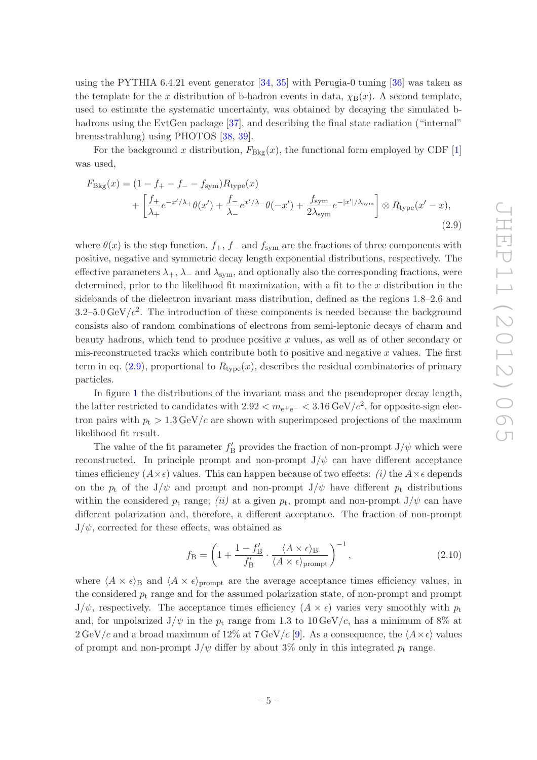using the PYTHIA 6.4.21 event generator [\[34,](#page-20-13) [35](#page-20-14)] with Perugia-0 tuning [\[36](#page-20-15)] was taken as the template for the x distribution of b-hadron events in data,  $\chi_B(x)$ . A second template, used to estimate the systematic uncertainty, was obtained by decaying the simulated b-hadrons using the EvtGen package [\[37\]](#page-20-16), and describing the final state radiation ("internal" bremsstrahlung) using PHOTOS [\[38](#page-21-0), [39\]](#page-21-1).

For the background x distribution,  $F_{Bkg}(x)$ , the functional form employed by CDF [\[1\]](#page-18-0) was used,

<span id="page-5-0"></span>
$$
F_{\rm Bkg}(x) = (1 - f_{+} - f_{-} - f_{\rm sym})R_{\rm type}(x) + \left[\frac{f_{+}}{\lambda_{+}}e^{-x/\lambda_{+}}\theta(x') + \frac{f_{-}}{\lambda_{-}}e^{x/\lambda_{-}}\theta(-x') + \frac{f_{\rm sym}}{2\lambda_{\rm sym}}e^{-|x'|/\lambda_{\rm sym}}\right] \otimes R_{\rm type}(x'-x),
$$
\n(2.9)

where  $\theta(x)$  is the step function,  $f_+, f_-$  and  $f_{sym}$  are the fractions of three components with positive, negative and symmetric decay length exponential distributions, respectively. The effective parameters  $\lambda_+$ ,  $\lambda_-$  and  $\lambda_{\text{sym}}$ , and optionally also the corresponding fractions, were determined, prior to the likelihood fit maximization, with a fit to the  $x$  distribution in the sidebands of the dielectron invariant mass distribution, defined as the regions 1.8–2.6 and 3.2–5.0 GeV/ $c^2$ . The introduction of these components is needed because the background consists also of random combinations of electrons from semi-leptonic decays of charm and beauty hadrons, which tend to produce positive  $x$  values, as well as of other secondary or mis-reconstructed tracks which contribute both to positive and negative  $x$  values. The first term in eq.  $(2.9)$ , proportional to  $R_{\text{type}}(x)$ , describes the residual combinatorics of primary particles.

In figure [1](#page-6-1) the distributions of the invariant mass and the pseudoproper decay length, the latter restricted to candidates with  $2.92 < m_{e^+e^-} < 3.16 \,\text{GeV}/c^2$ , for opposite-sign electron pairs with  $p_t > 1.3 \,\text{GeV}/c$  are shown with superimposed projections of the maximum likelihood fit result.

The value of the fit parameter  $f'_{\text{B}}$  provides the fraction of non-prompt  ${\mathrm J}/\psi$  which were reconstructed. In principle prompt and non-prompt  $J/\psi$  can have different acceptance times efficiency  $(A\times\epsilon)$  values. This can happen because of two effects: *(i)* the  $A\times\epsilon$  depends on the  $p_t$  of the J/ $\psi$  and prompt and non-prompt J/ $\psi$  have different  $p_t$  distributions within the considered  $p_t$  range; (ii) at a given  $p_t$ , prompt and non-prompt  $J/\psi$  can have different polarization and, therefore, a different acceptance. The fraction of non-prompt  $J/\psi$ , corrected for these effects, was obtained as

<span id="page-5-1"></span>
$$
f_{\rm B} = \left(1 + \frac{1 - f_{\rm B}'}{f_{\rm B}'} \cdot \frac{\langle A \times \epsilon \rangle_{\rm B}}{\langle A \times \epsilon \rangle_{\rm prompt}}\right)^{-1},\tag{2.10}
$$

where  $\langle A \times \epsilon \rangle_B$  and  $\langle A \times \epsilon \rangle_{\text{prompt}}$  are the average acceptance times efficiency values, in the considered  $p_t$  range and for the assumed polarization state, of non-prompt and prompt  $J/\psi$ , respectively. The acceptance times efficiency  $(A \times \epsilon)$  varies very smoothly with  $p_t$ and, for unpolarized  $J/\psi$  in the  $p_t$  range from 1.3 to 10 GeV/c, has a minimum of 8% at  $2 \text{ GeV}/c$  and a broad maximum of 12% at  $7 \text{ GeV}/c$  [\[9](#page-19-6)]. As a consequence, the  $\langle A \times \epsilon \rangle$  values of prompt and non-prompt  $J/\psi$  differ by about 3% only in this integrated  $p_t$  range.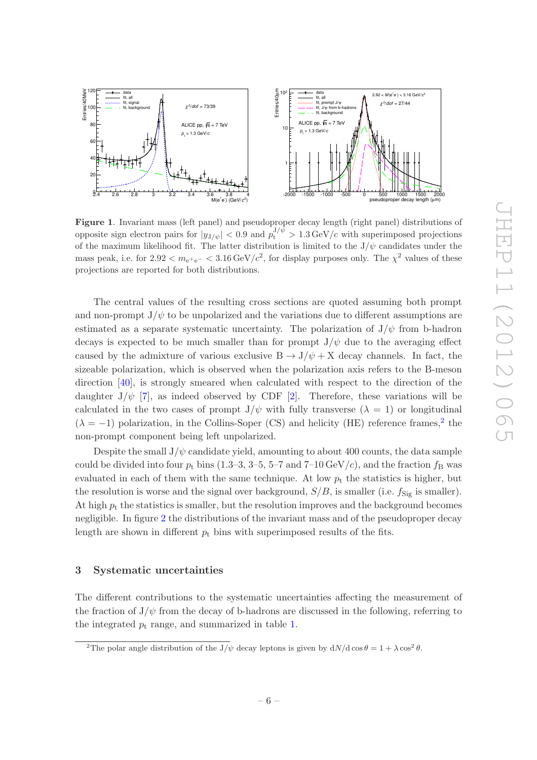

<span id="page-6-1"></span>Figure 1. Invariant mass (left panel) and pseudoproper decay length (right panel) distributions of opposite sign electron pairs for  $|y_{J/\psi}| < 0.9$  and  $p_t^{J/\psi} > 1.3 \,\text{GeV}/c$  with superimposed projections of the maximum likelihood fit. The latter distribution is limited to the  $J/\psi$  candidates under the mass peak, i.e. for  $2.92 < m_{e^+e^-} < 3.16 \,\text{GeV}/c^2$ , for display purposes only. The  $\chi^2$  values of these projections are reported for both distributions.

The central values of the resulting cross sections are quoted assuming both prompt and non-prompt  $J/\psi$  to be unpolarized and the variations due to different assumptions are estimated as a separate systematic uncertainty. The polarization of  $J/\psi$  from b-hadron decays is expected to be much smaller than for prompt  $J/\psi$  due to the averaging effect caused by the admixture of various exclusive  $B \to J/\psi + X$  decay channels. In fact, the sizeable polarization, which is observed when the polarization axis refers to the B-meson direction [\[40](#page-21-2)], is strongly smeared when calculated with respect to the direction of the daughter  $J/\psi$  [\[7](#page-19-12)], as indeed observed by CDF [\[2\]](#page-18-1). Therefore, these variations will be calculated in the two cases of prompt  $J/\psi$  with fully transverse  $(\lambda = 1)$  or longitudinal  $(\lambda = -1)$  polarization, in the Collins-Soper (CS) and helicity (HE) reference frames,<sup>[2](#page-25-0)</sup> the non-prompt component being left unpolarized.

Despite the small  $J/\psi$  candidate yield, amounting to about 400 counts, the data sample could be divided into four  $p_t$  bins (1.3–3, 3–5, 5–7 and 7–10 GeV/c), and the fraction  $f_B$  was evaluated in each of them with the same technique. At low  $p_t$  the statistics is higher, but the resolution is worse and the signal over background,  $S/B$ , is smaller (i.e.  $f_{\text{Sig}}$  is smaller). At high  $p_t$  the statistics is smaller, but the resolution improves and the background becomes negligible. In figure [2](#page-7-0) the distributions of the invariant mass and of the pseudoproper decay length are shown in different  $p_t$  bins with superimposed results of the fits.

#### <span id="page-6-0"></span>3 Systematic uncertainties

The different contributions to the systematic uncertainties affecting the measurement of the fraction of  $J/\psi$  from the decay of b-hadrons are discussed in the following, referring to the integrated  $p_t$  range, and summarized in table [1.](#page-10-2)

<sup>&</sup>lt;sup>2</sup>The polar angle distribution of the J/ $\psi$  decay leptons is given by  $dN/d\cos\theta = 1 + \lambda \cos^2\theta$ .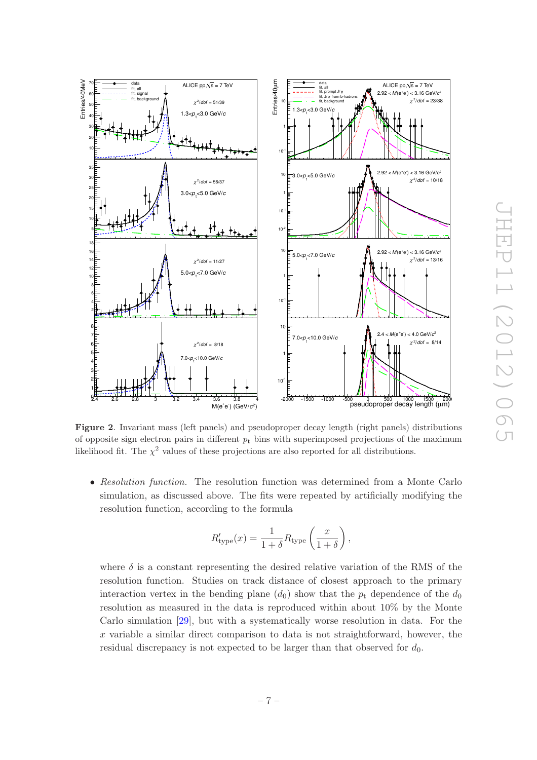

<span id="page-7-0"></span>Figure 2. Invariant mass (left panels) and pseudoproper decay length (right panels) distributions of opposite sign electron pairs in different  $p_t$  bins with superimposed projections of the maximum likelihood fit. The  $\chi^2$  values of these projections are also reported for all distributions.

• Resolution function. The resolution function was determined from a Monte Carlo simulation, as discussed above. The fits were repeated by artificially modifying the resolution function, according to the formula

$$
R'_{\text{type}}(x) = \frac{1}{1+\delta} R_{\text{type}} \left( \frac{x}{1+\delta} \right),
$$

where  $\delta$  is a constant representing the desired relative variation of the RMS of the resolution function. Studies on track distance of closest approach to the primary interaction vertex in the bending plane  $(d_0)$  show that the  $p_t$  dependence of the  $d_0$ resolution as measured in the data is reproduced within about 10% by the Monte Carlo simulation [\[29](#page-20-8)], but with a systematically worse resolution in data. For the  $x$  variable a similar direct comparison to data is not straightforward, however, the residual discrepancy is not expected to be larger than that observed for  $d_0$ .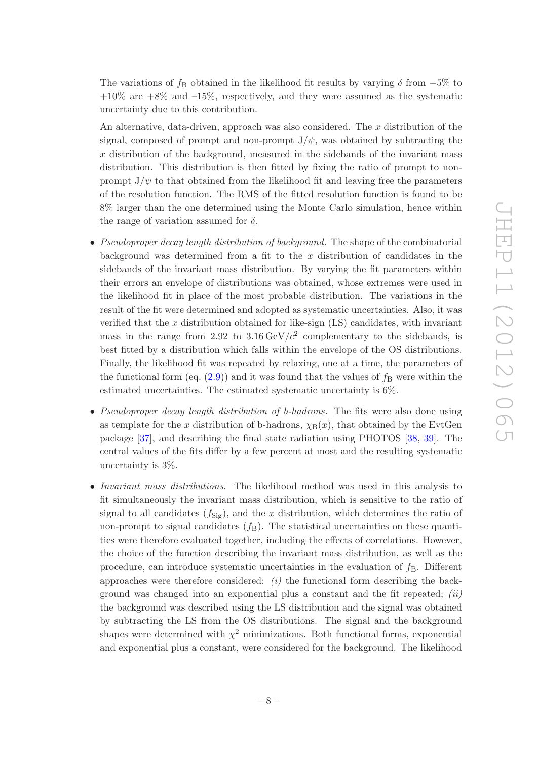The variations of  $f_B$  obtained in the likelihood fit results by varying  $\delta$  from  $-5\%$  to  $+10\%$  are  $+8\%$  and  $-15\%$ , respectively, and they were assumed as the systematic uncertainty due to this contribution.

An alternative, data-driven, approach was also considered. The  $x$  distribution of the signal, composed of prompt and non-prompt  $J/\psi$ , was obtained by subtracting the x distribution of the background, measured in the sidebands of the invariant mass distribution. This distribution is then fitted by fixing the ratio of prompt to nonprompt  $J/\psi$  to that obtained from the likelihood fit and leaving free the parameters of the resolution function. The RMS of the fitted resolution function is found to be 8% larger than the one determined using the Monte Carlo simulation, hence within the range of variation assumed for  $\delta$ .

- Pseudoproper decay length distribution of background. The shape of the combinatorial background was determined from a fit to the  $x$  distribution of candidates in the sidebands of the invariant mass distribution. By varying the fit parameters within their errors an envelope of distributions was obtained, whose extremes were used in the likelihood fit in place of the most probable distribution. The variations in the result of the fit were determined and adopted as systematic uncertainties. Also, it was verified that the x distribution obtained for like-sign  $(LS)$  candidates, with invariant mass in the range from 2.92 to  $3.16 \,\text{GeV}/c^2$  complementary to the sidebands, is best fitted by a distribution which falls within the envelope of the OS distributions. Finally, the likelihood fit was repeated by relaxing, one at a time, the parameters of the functional form (eq.  $(2.9)$ ) and it was found that the values of  $f_B$  were within the estimated uncertainties. The estimated systematic uncertainty is 6%.
- Pseudoproper decay length distribution of b-hadrons. The fits were also done using as template for the x distribution of b-hadrons,  $\chi_B(x)$ , that obtained by the EvtGen package [\[37\]](#page-20-16), and describing the final state radiation using PHOTOS [\[38](#page-21-0), [39\]](#page-21-1). The central values of the fits differ by a few percent at most and the resulting systematic uncertainty is 3%.
- Invariant mass distributions. The likelihood method was used in this analysis to fit simultaneously the invariant mass distribution, which is sensitive to the ratio of signal to all candidates  $(f_{\text{Sig}})$ , and the x distribution, which determines the ratio of non-prompt to signal candidates  $(f_B)$ . The statistical uncertainties on these quantities were therefore evaluated together, including the effects of correlations. However, the choice of the function describing the invariant mass distribution, as well as the procedure, can introduce systematic uncertainties in the evaluation of  $f_B$ . Different approaches were therefore considered:  $(i)$  the functional form describing the background was changed into an exponential plus a constant and the fit repeated;  $(ii)$ the background was described using the LS distribution and the signal was obtained by subtracting the LS from the OS distributions. The signal and the background shapes were determined with  $\chi^2$  minimizations. Both functional forms, exponential and exponential plus a constant, were considered for the background. The likelihood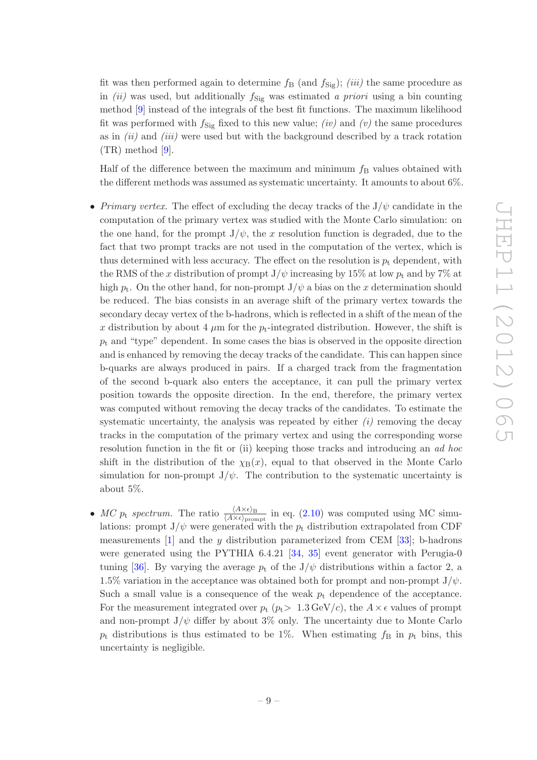fit was then performed again to determine  $f_{\rm B}$  (and  $f_{\rm Sig}$ ); *(iii)* the same procedure as in (ii) was used, but additionally  $f_{\text{Sig}}$  was estimated a priori using a bin counting method [\[9](#page-19-6)] instead of the integrals of the best fit functions. The maximum likelihood fit was performed with  $f_{\text{Sig}}$  fixed to this new value; *(iv)* and *(v)* the same procedures as in  $(ii)$  and  $(iii)$  were used but with the background described by a track rotation (TR) method [\[9\]](#page-19-6).

Half of the difference between the maximum and minimum  $f_B$  values obtained with the different methods was assumed as systematic uncertainty. It amounts to about 6%.

- Primary vertex. The effect of excluding the decay tracks of the  $J/\psi$  candidate in the computation of the primary vertex was studied with the Monte Carlo simulation: on the one hand, for the prompt  $J/\psi$ , the x resolution function is degraded, due to the fact that two prompt tracks are not used in the computation of the vertex, which is thus determined with less accuracy. The effect on the resolution is  $p_t$  dependent, with the RMS of the x distribution of prompt  $J/\psi$  increasing by 15% at low  $p_t$  and by 7% at high  $p_t$ . On the other hand, for non-prompt  $J/\psi$  a bias on the x determination should be reduced. The bias consists in an average shift of the primary vertex towards the secondary decay vertex of the b-hadrons, which is reflected in a shift of the mean of the x distribution by about 4  $\mu$ m for the  $p_t$ -integrated distribution. However, the shift is  $p_t$  and "type" dependent. In some cases the bias is observed in the opposite direction and is enhanced by removing the decay tracks of the candidate. This can happen since b-quarks are always produced in pairs. If a charged track from the fragmentation of the second b-quark also enters the acceptance, it can pull the primary vertex position towards the opposite direction. In the end, therefore, the primary vertex was computed without removing the decay tracks of the candidates. To estimate the systematic uncertainty, the analysis was repeated by either  $(i)$  removing the decay tracks in the computation of the primary vertex and using the corresponding worse resolution function in the fit or (ii) keeping those tracks and introducing an ad hoc shift in the distribution of the  $\chi_B(x)$ , equal to that observed in the Monte Carlo simulation for non-prompt  $J/\psi$ . The contribution to the systematic uncertainty is about 5%.
- MC  $p_t$  spectrum. The ratio  $\frac{\langle A \times \epsilon \rangle_B}{\langle A \times \epsilon \rangle_{\text{prompt}}}$  in eq. [\(2.10\)](#page-5-1) was computed using MC simulations: prompt  $J/\psi$  were generated with the  $p_t$  distribution extrapolated from CDF measurements  $[1]$  and the y distribution parameterized from CEM  $[33]$ ; b-hadrons were generated using the PYTHIA 6.4.21 [\[34,](#page-20-13) [35\]](#page-20-14) event generator with Perugia-0 tuning [\[36](#page-20-15)]. By varying the average  $p_t$  of the J/ $\psi$  distributions within a factor 2, a 1.5% variation in the acceptance was obtained both for prompt and non-prompt  $J/\psi$ . Such a small value is a consequence of the weak  $p_t$  dependence of the acceptance. For the measurement integrated over  $p_t$  ( $p_t$  > 1.3 GeV/c), the  $A \times \epsilon$  values of prompt and non-prompt  $J/\psi$  differ by about 3% only. The uncertainty due to Monte Carlo  $p_t$  distributions is thus estimated to be 1%. When estimating  $f_B$  in  $p_t$  bins, this uncertainty is negligible.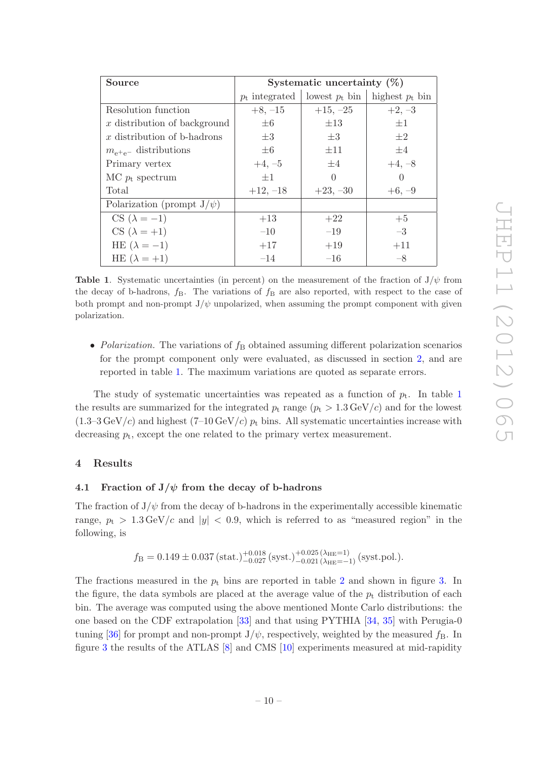| Source                          | Systematic uncertainty $(\%)$ |                  |                   |  |  |
|---------------------------------|-------------------------------|------------------|-------------------|--|--|
|                                 | $p_t$ integrated              | lowest $p_t$ bin | highest $p_t$ bin |  |  |
| Resolution function             | $+8, -15$                     | $+15, -25$       | $+2, -3$          |  |  |
| $x$ distribution of background  | $\pm 6$                       | $\pm 13$         | $\pm 1$           |  |  |
| $x$ distribution of b-hadrons   | $\pm 3$                       | $\pm 3$          | $\pm 2$           |  |  |
| $m_{e^+e^-}$ distributions      | $\pm 6$                       | $\pm 11$         | $\pm 4$           |  |  |
| Primary vertex                  | $+4, -5$                      | $\pm 4$          | $+4, -8$          |  |  |
| $MC p_t$ spectrum               | $\pm 1$                       | $\left( \right)$ | $\Omega$          |  |  |
| Total                           | $+12, -18$                    | $+23, -30$       | $+6, -9$          |  |  |
| Polarization (prompt $J/\psi$ ) |                               |                  |                   |  |  |
| CS $(\lambda = -1)$             | $+13$                         | $+22$            | $+5$              |  |  |
| CS $(\lambda = +1)$             | $-10$                         | $-19$            | $-3$              |  |  |
| HE $(\lambda = -1)$             | $+17$                         | $+19$            | $+11$             |  |  |
| HE $(\lambda = +1)$             | $-14$                         | $-16$            | $-8$              |  |  |

<span id="page-10-2"></span>**Table 1.** Systematic uncertainties (in percent) on the measurement of the fraction of  $J/\psi$  from the decay of b-hadrons,  $f_B$ . The variations of  $f_B$  are also reported, with respect to the case of both prompt and non-prompt  $J/\psi$  unpolarized, when assuming the prompt component with given polarization.

• Polarization. The variations of  $f_B$  obtained assuming different polarization scenarios for the prompt component only were evaluated, as discussed in section [2,](#page-2-0) and are reported in table [1.](#page-10-2) The maximum variations are quoted as separate errors.

The study of systematic uncertainties was repeated as a function of  $p_t$ . In table [1](#page-10-2) the results are summarized for the integrated  $p_t$  range  $(p_t > 1.3 \text{ GeV}/c)$  and for the lowest  $(1.3-3 \text{ GeV}/c)$  and highest  $(7-10 \text{ GeV}/c)$   $p_t$  bins. All systematic uncertainties increase with decreasing  $p_t$ , except the one related to the primary vertex measurement.

#### <span id="page-10-1"></span><span id="page-10-0"></span>4 Results

#### 4.1 Fraction of  $J/\psi$  from the decay of b-hadrons

The fraction of  $J/\psi$  from the decay of b-hadrons in the experimentally accessible kinematic range,  $p_t > 1.3 \,\text{GeV}/c$  and  $|y| < 0.9$ , which is referred to as "measured region" in the following, is

$$
f_{\rm B} = 0.149 \pm 0.037 \left(\text{stat.}\right)_{-0.027}^{+0.018} \left(\text{syst.}\right)_{-0.021}^{+0.025} \left(\lambda_{\rm HE} = 1\right) \left(\text{syst.pol.}\right).
$$

The fractions measured in the  $p_t$  bins are reported in table [2](#page-12-0) and shown in figure [3.](#page-11-1) In the figure, the data symbols are placed at the average value of the  $p_t$  distribution of each bin. The average was computed using the above mentioned Monte Carlo distributions: the one based on the CDF extrapolation [\[33\]](#page-20-12) and that using PYTHIA [\[34](#page-20-13), [35](#page-20-14)] with Perugia-0 tuning [\[36](#page-20-15)] for prompt and non-prompt  $J/\psi$ , respectively, weighted by the measured  $f_B$ . In figure [3](#page-11-1) the results of the ATLAS [\[8\]](#page-19-7) and CMS [\[10\]](#page-19-3) experiments measured at mid-rapidity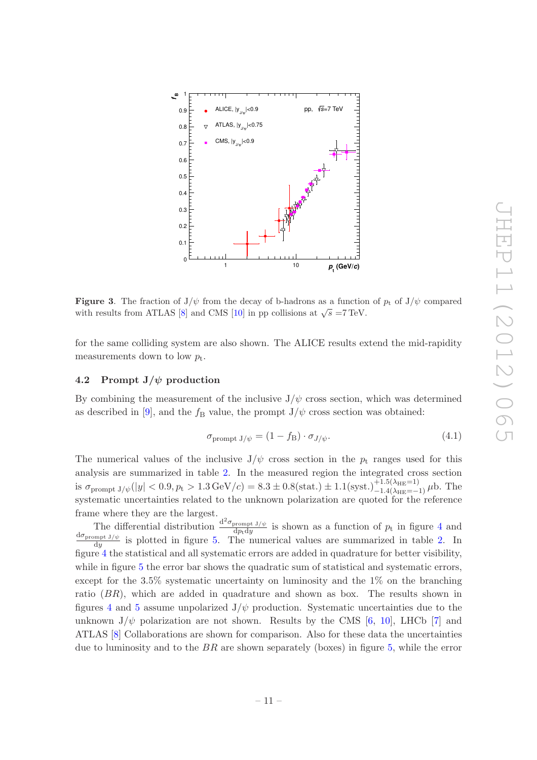

<span id="page-11-1"></span>**Figure 3.** The fraction of  $J/\psi$  from the decay of b-hadrons as a function of  $p_t$  of  $J/\psi$  compared with results from ATLAS [\[8](#page-19-7)] and CMS [\[10\]](#page-19-3) in pp collisions at  $\sqrt{s}$  =7 TeV.

for the same colliding system are also shown. The ALICE results extend the mid-rapidity measurements down to low  $p_t$ .

#### <span id="page-11-0"></span>4.2 Prompt  $J/\psi$  production

By combining the measurement of the inclusive  $J/\psi$  cross section, which was determined as described in [\[9](#page-19-6)], and the  $f_B$  value, the prompt  $J/\psi$  cross section was obtained:

$$
\sigma_{\text{prompt J}/\psi} = (1 - f_B) \cdot \sigma_{J/\psi}.
$$
\n(4.1)

The numerical values of the inclusive  $J/\psi$  cross section in the  $p_t$  ranges used for this analysis are summarized in table [2.](#page-12-0) In the measured region the integrated cross section is  $\sigma_{\text{prompt J/\psi}}(|y| < 0.9, p_t > 1.3 \,\text{GeV}/c) = 8.3 \pm 0.8(\text{stat.}) \pm 1.1(\text{syst.})^{+1.5(\lambda_{\text{HE}}=1)}_{-1.4(\lambda_{\text{HE}}=-1)} \,\mu\text{b}$ . The systematic uncertainties related to the unknown polarization are quoted for the reference frame where they are the largest.

The differential distribution  $\frac{d^2 \sigma_{\text{prompt J/\psi}}}{d \mu_{\text{d}} d \mu}$  $\frac{\text{prompt }J/\psi}{dp_t dy}$  is shown as a function of  $p_t$  in figure [4](#page-14-0) and  ${\rm d}\sigma_{\rm prompt\;J/\psi}$  $\frac{mpt J/\psi}{dy}$  is plotted in figure [5.](#page-15-0) The numerical values are summarized in table [2.](#page-12-0) In figure [4](#page-14-0) the statistical and all systematic errors are added in quadrature for better visibility, while in figure [5](#page-15-0) the error bar shows the quadratic sum of statistical and systematic errors, except for the 3.5% systematic uncertainty on luminosity and the 1% on the branching ratio (BR), which are added in quadrature and shown as box. The results shown in figures [4](#page-14-0) and [5](#page-15-0) assume unpolarized  $J/\psi$  production. Systematic uncertainties due to the unknown  $J/\psi$  polarization are not shown. Results by the CMS [\[6](#page-19-2), [10](#page-19-3)], LHCb [\[7](#page-19-12)] and ATLAS [\[8](#page-19-7)] Collaborations are shown for comparison. Also for these data the uncertainties due to luminosity and to the  $BR$  are shown separately (boxes) in figure [5,](#page-15-0) while the error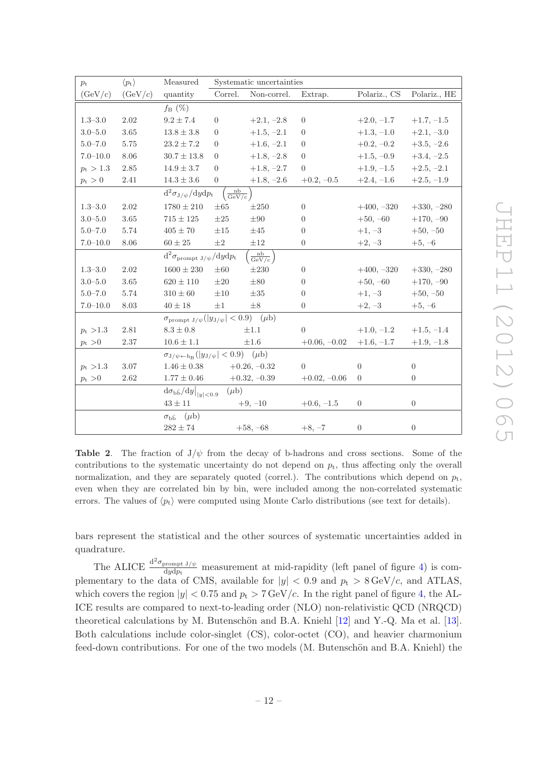| $p_{\rm t}$       | $\langle p_{\rm t} \rangle$                                              | Measured                                                                   | Systematic uncertainties |                                  |                |                |                |
|-------------------|--------------------------------------------------------------------------|----------------------------------------------------------------------------|--------------------------|----------------------------------|----------------|----------------|----------------|
| (GeV/c)           | (GeV/c)                                                                  | quantity                                                                   | Correl.                  | Non-correl.                      | Extrap.        | Polariz., CS   | Polariz., HE   |
| $f_{\rm B}(\%)$   |                                                                          |                                                                            |                          |                                  |                |                |                |
| $1.3 - 3.0$       | 2.02                                                                     | $9.2\pm7.4$                                                                | $\theta$                 | $+2.1, -2.8$                     | $\theta$       | $+2.0, -1.7$   | $+1.7, -1.5$   |
| $3.0 - 5.0$       | 3.65                                                                     | $13.8 \pm 3.8$                                                             | $\Omega$                 | $+1.5, -2.1$                     | $\theta$       | $+1.3, -1.0$   | $+2.1, -3.0$   |
| $5.0 - 7.0$       | 5.75                                                                     | $23.2\pm7.2$                                                               | $\theta$                 | $+1.6, -2.1$                     | $\overline{0}$ | $+0.2, -0.2$   | $+3.5, -2.6$   |
| $7.0 - 10.0$      | 8.06                                                                     | $30.7 \pm 13.8$                                                            | $\overline{0}$           | $+1.8, -2.8$                     | $\theta$       | $+1.5, -0.9$   | $+3.4, -2.5$   |
| $p_{\rm t} > 1.3$ | 2.85                                                                     | $14.9 \pm 3.7$                                                             | $\Omega$                 | $+1.8, -2.7$                     | $\overline{0}$ | $+1.9, -1.5$   | $+2.5, -2.1$   |
| $p_{\rm t} > 0$   | 2.41                                                                     | $14.3 \pm 3.6$                                                             | $\overline{0}$           | $+1.8, -2.6$                     | $+0.2, -0.5$   | $+2.4, -1.6$   | $+2.5, -1.9$   |
|                   |                                                                          | $\left(\frac{\rm nb}{{\rm GeV}/c}\right)$<br>$d^2\sigma_{J/\psi}/dydp_t$   |                          |                                  |                |                |                |
| $1.3 - 3.0$       | 2.02                                                                     | $1780 \pm 210$                                                             | $\pm 65$                 | $\pm 250$                        | $\overline{0}$ | $+400, -320$   | $+330, -280$   |
| $3.0 - 5.0$       | 3.65                                                                     | $715\pm125$                                                                | $\pm 25$                 | $\pm 90$                         | $\overline{0}$ | $+50, -60$     | $+170, -90$    |
| $5.0 - 7.0$       | 5.74                                                                     | $405 \pm 70$                                                               | $\pm 15$                 | $\pm 45$                         | $\theta$       | $+1, -3$       | $+50, -50$     |
| $7.0 - 10.0$      | 8.06                                                                     | $60 \pm 25$                                                                | $\pm 2$                  | $\pm 12$                         | $\overline{0}$ | $+2, -3$       | $+5, -6$       |
|                   |                                                                          | $d^2\sigma_{\rm prompt\ J/\psi}/dydp_t$                                    |                          | $\frac{\text{nb}}{\text{GeV}/c}$ |                |                |                |
| $1.3 - 3.0$       | $2.02\,$                                                                 | $1600 \pm 230$                                                             | $\pm 60$                 | $\pm 230$                        | $\overline{0}$ | $+400, -320$   | $+330, -280$   |
| $3.0 - 5.0$       | 3.65                                                                     | $620 \pm 110$                                                              | $\pm 20$                 | $\pm 80$                         | $\overline{0}$ | $+50, -60$     | $+170, -90$    |
| $5.0 - 7.0$       | 5.74                                                                     | $310 \pm 60$                                                               | $\pm 10$                 | $\pm 35$                         | $\theta$       | $+1, -3$       | $+50, -50$     |
| $7.0 - 10.0$      | 8.03                                                                     | $40 \pm 18$                                                                | $\pm 1$                  | $\pm 8$                          | $\theta$       | $+2, -3$       | $+5, -6$       |
|                   | $\sigma_{\text{prompt J/\psi}}( y_{\text{J/\psi}}  < 0.9)$ ( <i>µb</i> ) |                                                                            |                          |                                  |                |                |                |
| $p_{\rm t} > 1.3$ | 2.81                                                                     | $8.3 \pm 0.8$                                                              |                          | $\pm 1.1$                        | $\overline{0}$ | $+1.0, -1.2$   | $+1.5, -1.4$   |
| $p_{\rm t} > 0$   | 2.37                                                                     | $10.6 \pm 1.1$                                                             |                          | $\pm 1.6$                        | $+0.06, -0.02$ | $+1.6, -1.7$   | $+1.9, -1.8$   |
|                   |                                                                          | $\sigma_{J/\psi \leftarrow h_B} ( y_{J/\psi}  < 0.9)$ ( <i>µb</i> )        |                          |                                  |                |                |                |
| $p_{\rm t} > 1.3$ | 3.07                                                                     | $1.46 \pm 0.38$                                                            |                          | $+0.26, -0.32$                   | $\overline{0}$ | $\theta$       | $\overline{0}$ |
| $p_{\rm t} > 0$   | 2.62                                                                     | $1.77 \pm 0.46$                                                            |                          | $+0.32, -0.39$                   | $+0.02, -0.06$ | $\theta$       | $\overline{0}$ |
|                   |                                                                          | $\mathrm{d}\sigma_{\mathrm{b}\bar{\mathrm{b}}}/\mathrm{d}y\big _{ y <0.9}$ | $(\mu b)$                |                                  |                |                |                |
|                   |                                                                          | $43\pm11$                                                                  | $+9, -10$                |                                  | $+0.6, -1.5$   | $\overline{0}$ | $\overline{0}$ |
|                   |                                                                          | $\sigma_{\rm b\bar{b}}$ ( $\mu$ b)                                         |                          |                                  |                |                |                |
|                   |                                                                          | $282\pm74$                                                                 |                          | $+58, -68$                       | $+8, -7$       | $\overline{0}$ | $\overline{0}$ |

<span id="page-12-0"></span>**Table 2.** The fraction of  $J/\psi$  from the decay of b-hadrons and cross sections. Some of the contributions to the systematic uncertainty do not depend on  $p_t$ , thus affecting only the overall normalization, and they are separately quoted (correl.). The contributions which depend on  $p_t$ , even when they are correlated bin by bin, were included among the non-correlated systematic errors. The values of  $\langle p_t \rangle$  were computed using Monte Carlo distributions (see text for details).

bars represent the statistical and the other sources of systematic uncertainties added in quadrature.

The ALICE  $\frac{d^2 \sigma_{\text{prompt J}/\psi}}{dudn_{\psi}}$  $\frac{\text{prompt }J/\psi}{\text{d}y\text{d}p_t}$  measurement at mid-rapidity (left panel of figure [4\)](#page-14-0) is complementary to the data of CMS, available for  $|y| < 0.9$  and  $p_t > 8 \,\text{GeV}/c$ , and ATLAS, which covers the region  $|y| < 0.75$  and  $p_t > 7 \text{ GeV}/c$ . In the right panel of figure [4,](#page-14-0) the AL-ICE results are compared to next-to-leading order (NLO) non-relativistic QCD (NRQCD) theoretical calculations by M. Butenschön and B.A. Kniehl  $[12]$  and Y.-Q. Ma et al.  $[13]$ . Both calculations include color-singlet (CS), color-octet (CO), and heavier charmonium feed-down contributions. For one of the two models (M. Butenschön and B.A. Kniehl) the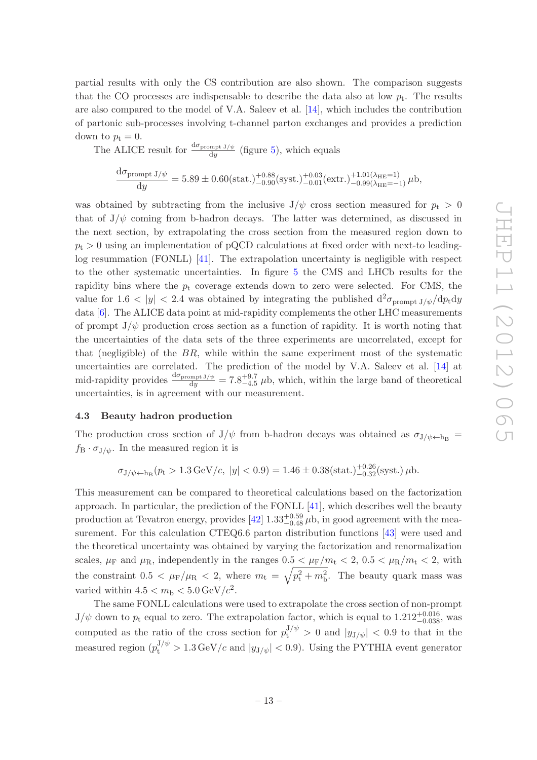partial results with only the CS contribution are also shown. The comparison suggests that the CO processes are indispensable to describe the data also at low  $p_t$ . The results are also compared to the model of V.A. Saleev et al. [\[14\]](#page-19-5), which includes the contribution of partonic sub-processes involving t-channel parton exchanges and provides a prediction down to  $p_t = 0$ .

The ALICE result for  $\frac{d\sigma_{\text{prompt}}}{dy}$  (figure [5\)](#page-15-0), which equals

$$
\frac{d\sigma_{\text{prompt J/\psi}}}{dy} = 5.89 \pm 0.60(\text{stat.})^{+0.88}_{-0.90}(\text{syst.})^{+0.03}_{-0.01}(\text{extr.})^{+1.01(\lambda_{\text{HE}}=1)}_{-0.99(\lambda_{\text{HE}}=-1)} \,\mu\text{b},
$$

was obtained by subtracting from the inclusive  $J/\psi$  cross section measured for  $p_t > 0$ that of  $J/\psi$  coming from b-hadron decays. The latter was determined, as discussed in the next section, by extrapolating the cross section from the measured region down to  $p_t > 0$  using an implementation of pQCD calculations at fixed order with next-to leadinglog resummation (FONLL) [\[41](#page-21-3)]. The extrapolation uncertainty is negligible with respect to the other systematic uncertainties. In figure [5](#page-15-0) the CMS and LHCb results for the rapidity bins where the  $p_t$  coverage extends down to zero were selected. For CMS, the value for  $1.6 < |y| < 2.4$  was obtained by integrating the published  $d^2\sigma_{\rm prompt, J/\psi}/dp_{\rm t}dy$ data [\[6\]](#page-19-2). The ALICE data point at mid-rapidity complements the other LHC measurements of prompt  $J/\psi$  production cross section as a function of rapidity. It is worth noting that the uncertainties of the data sets of the three experiments are uncorrelated, except for that (negligible) of the  $BR$ , while within the same experiment most of the systematic uncertainties are correlated. The prediction of the model by V.A. Saleev et al. [\[14](#page-19-5)] at mid-rapidity provides  $\frac{d\sigma_{\text{prompt J/\psi}}}{dy} = 7.8^{+9.7}_{-4.5}$  µb, which, within the large band of theoretical uncertainties, is in agreement with our measurement.

#### <span id="page-13-0"></span>4.3 Beauty hadron production

The production cross section of J/ $\psi$  from b-hadron decays was obtained as  $\sigma_{J/\psi \leftarrow h_B}$  =  $f_B \cdot \sigma_{J/\psi}$ . In the measured region it is

$$
\sigma_{\rm J/\psi\leftarrow h_{\rm B}}(p_{\rm t} > 1.3 \,\mathrm{GeV}/c, \, |y| < 0.9) = 1.46 \pm 0.38 \, (\mathrm{stat.})^{+0.26}_{-0.32} \, (\mathrm{syst.}) \, \mu \mathrm{b.}
$$

This measurement can be compared to theoretical calculations based on the factorization approach. In particular, the prediction of the FONLL [\[41\]](#page-21-3), which describes well the beauty production at Tevatron energy, provides  $[42]$   $1.33_{-0.48}^{+0.59}$   $\mu$ b, in good agreement with the mea-surement. For this calculation CTEQ6.6 parton distribution functions [\[43](#page-21-5)] were used and the theoretical uncertainty was obtained by varying the factorization and renormalization scales,  $\mu_F$  and  $\mu_R$ , independently in the ranges  $0.5 < \mu_F/m_t < 2$ ,  $0.5 < \mu_R/m_t < 2$ , with the constraint  $0.5 < \mu_{\rm F}/\mu_{\rm R} < 2$ , where  $m_{\rm t} = \sqrt{p_{\rm t}^2 + m_{\rm b}^2}$ . The beauty quark mass was varied within  $4.5 < m<sub>b</sub> < 5.0 \,\text{GeV}/c^2$ .

The same FONLL calculations were used to extrapolate the cross section of non-prompt  $J/\psi$  down to  $p_t$  equal to zero. The extrapolation factor, which is equal to  $1.212^{+0.016}_{-0.038}$ , was computed as the ratio of the cross section for  $p_t^{J/\psi} > 0$  and  $|y_{J/\psi}| < 0.9$  to that in the measured region  $(p_t^{J/\psi} > 1.3 \,\text{GeV}/c$  and  $|y_{J/\psi}| < 0.9$ ). Using the PYTHIA event generator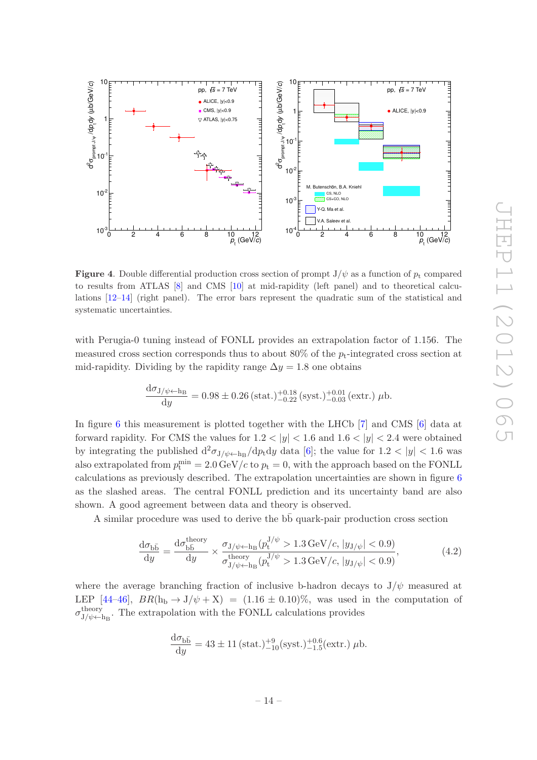

<span id="page-14-0"></span>**Figure 4.** Double differential production cross section of prompt  $J/\psi$  as a function of  $p_t$  compared to results from ATLAS [\[8](#page-19-7)] and CMS [\[10](#page-19-3)] at mid-rapidity (left panel) and to theoretical calculations [\[12](#page-19-13)[–14](#page-19-5)] (right panel). The error bars represent the quadratic sum of the statistical and systematic uncertainties.

with Perugia-0 tuning instead of FONLL provides an extrapolation factor of 1.156. The measured cross section corresponds thus to about  $80\%$  of the  $p_t$ -integrated cross section at mid-rapidity. Dividing by the rapidity range  $\Delta y = 1.8$  one obtains

$$
\frac{d\sigma_{\text{J}/\psi \leftarrow \text{h}_{\text{B}}}}{dy} = 0.98 \pm 0.26 \, (\text{stat.})_{-0.22}^{+0.18} \, (\text{syst.})_{-0.03}^{+0.01} \, (\text{extr.}) \, \mu \text{b.}
$$

In figure [6](#page-16-1) this measurement is plotted together with the LHCb [\[7\]](#page-19-12) and CMS [\[6\]](#page-19-2) data at forward rapidity. For CMS the values for  $1.2 < |y| < 1.6$  and  $1.6 < |y| < 2.4$  were obtained by integrating the published  $d^2\sigma_{J/\psi \leftarrow h_B}/dp_t dy$  data [\[6](#page-19-2)]; the value for  $1.2 < |y| < 1.6$  was also extrapolated from  $p_t^{\min} = 2.0 \,\text{GeV}/c$  to  $p_t = 0$ , with the approach based on the FONLL calculations as previously described. The extrapolation uncertainties are shown in figure [6](#page-16-1) as the slashed areas. The central FONLL prediction and its uncertainty band are also shown. A good agreement between data and theory is observed.

A similar procedure was used to derive the bb quark-pair production cross section ¯

$$
\frac{\mathrm{d}\sigma_{\mathrm{b}\bar{\mathrm{b}}}}{\mathrm{d}y} = \frac{\mathrm{d}\sigma_{\mathrm{b}\bar{\mathrm{b}}}^{\mathrm{theory}}}{\mathrm{d}y} \times \frac{\sigma_{\mathrm{J}/\psi \leftarrow \mathrm{h}_{\mathrm{B}}}(p_{\mathrm{t}}^{\mathrm{J}/\psi} > 1.3 \,\mathrm{GeV}/c, |y_{\mathrm{J}/\psi}| < 0.9)}{\sigma_{\mathrm{J}/\psi \leftarrow \mathrm{h}_{\mathrm{B}}}(p_{\mathrm{t}}^{\mathrm{J}/\psi} > 1.3 \,\mathrm{GeV}/c, |y_{\mathrm{J}/\psi}| < 0.9)},\tag{4.2}
$$

where the average branching fraction of inclusive b-hadron decays to  $J/\psi$  measured at LEP [\[44](#page-21-6)[–46](#page-21-7)],  $BR(h_b \rightarrow J/\psi + X) = (1.16 \pm 0.10)\%$ , was used in the computation of  $\sigma_{1/a b}^{\text{theory}}$  $J/\psi \leftarrow h_B$ . The extrapolation with the FONLL calculations provides

$$
\frac{d\sigma_{b\bar{b}}}{dy} = 43 \pm 11 \, (\text{stat.})^{+9}_{-10} \, (\text{syst.})^{+0.6}_{-1.5} \, (\text{extr.}) \, \mu b.
$$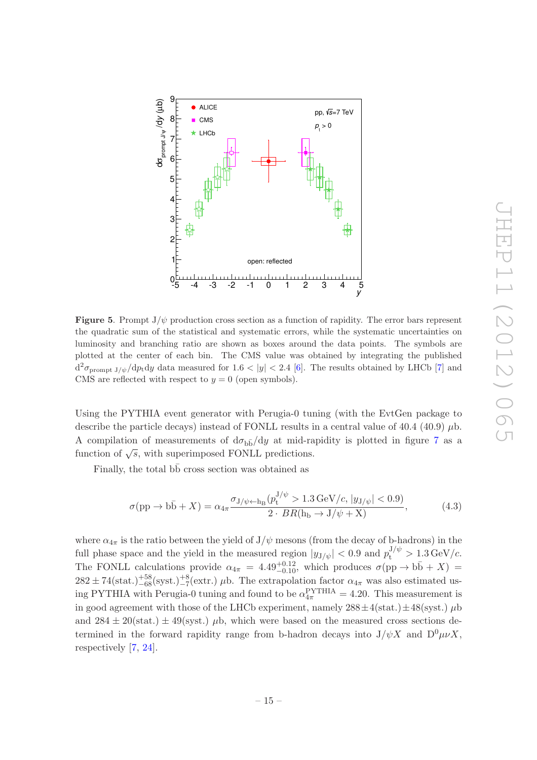

<span id="page-15-0"></span>**Figure 5.** Prompt  $J/\psi$  production cross section as a function of rapidity. The error bars represent the quadratic sum of the statistical and systematic errors, while the systematic uncertainties on luminosity and branching ratio are shown as boxes around the data points. The symbols are plotted at the center of each bin. The CMS value was obtained by integrating the published  $d^2\sigma_{\text{prompt J}/\psi}/dp_t dy$  data measured for 1.6 < |y| < 2.4 [\[6](#page-19-2)]. The results obtained by LHCb [\[7\]](#page-19-12) and CMS are reflected with respect to  $y = 0$  (open symbols).

Using the PYTHIA event generator with Perugia-0 tuning (with the EvtGen package to describe the particle decays) instead of FONLL results in a central value of 40.4 (40.9)  $\mu$ b. A compilation of measurements of  $d\sigma_{b\bar{b}}/dy$  at mid-rapidity is plotted in figure [7](#page-17-0) as a function of  $\sqrt{s}$ , with superimposed FONLL predictions.

Finally, the total  $b\bar{b}$  cross section was obtained as

$$
\sigma(pp \to b\bar{b} + X) = \alpha_{4\pi} \frac{\sigma_{J/\psi \leftarrow h_B} (p_t^{J/\psi} > 1.3 \,\text{GeV}/c, |y_{J/\psi}| < 0.9)}{2 \cdot BR(h_b \to J/\psi + X)},\tag{4.3}
$$

where  $\alpha_{4\pi}$  is the ratio between the yield of  $J/\psi$  mesons (from the decay of b-hadrons) in the full phase space and the yield in the measured region  $|y_{J/\psi}| < 0.9$  and  $p_t^{J/\psi} > 1.3 \,\text{GeV}/c$ . The FONLL calculations provide  $\alpha_{4\pi} = 4.49^{+0.12}_{-0.10}$ , which produces  $\sigma(pp \to b\bar{b} + X) =$  $282 \pm 74 \text{(stat.)}^{+58}_{-68} \text{(syst.)}^{+8}_{-7} \text{(extr.)}$  µb. The extrapolation factor  $\alpha_{4\pi}$  was also estimated using PYTHIA with Perugia-0 tuning and found to be  $\alpha_{4\pi}^{\text{PYTHIA}} = 4.20$ . This measurement is in good agreement with those of the LHCb experiment, namely  $288 \pm 4(\text{stat.}) \pm 48(\text{syst.}) \mu b$ and  $284 \pm 20$ (stat.)  $\pm 49$ (syst.)  $\mu$ b, which were based on the measured cross sections determined in the forward rapidity range from b-hadron decays into  $J/\psi X$  and  $D^0 \mu \nu X$ , respectively [\[7](#page-19-12), [24\]](#page-20-3).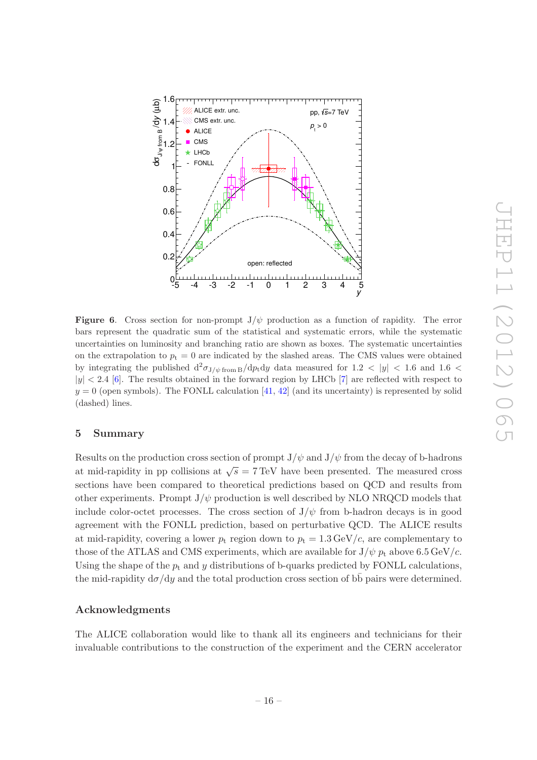

<span id="page-16-1"></span>**Figure 6.** Cross section for non-prompt  $J/\psi$  production as a function of rapidity. The error bars represent the quadratic sum of the statistical and systematic errors, while the systematic uncertainties on luminosity and branching ratio are shown as boxes. The systematic uncertainties on the extrapolation to  $p_t = 0$  are indicated by the slashed areas. The CMS values were obtained by integrating the published  $d^2\sigma_{J/\psi \text{ from } B}/dp_t dy$  data measured for 1.2 < |y| < 1.6 and 1.6 <  $|y| < 2.4$  [\[6\]](#page-19-2). The results obtained in the forward region by LHCb [\[7](#page-19-12)] are reflected with respect to  $y = 0$  (open symbols). The FONLL calculation [\[41](#page-21-3), [42](#page-21-4)] (and its uncertainty) is represented by solid (dashed) lines.

#### <span id="page-16-0"></span>5 Summary

Results on the production cross section of prompt  $J/\psi$  and  $J/\psi$  from the decay of b-hadrons at mid-rapidity in pp collisions at  $\sqrt{s} = 7 \,\text{TeV}$  have been presented. The measured cross sections have been compared to theoretical predictions based on QCD and results from other experiments. Prompt  $J/\psi$  production is well described by NLO NRQCD models that include color-octet processes. The cross section of  $J/\psi$  from b-hadron decays is in good agreement with the FONLL prediction, based on perturbative QCD. The ALICE results at mid-rapidity, covering a lower  $p_t$  region down to  $p_t = 1.3 \text{ GeV}/c$ , are complementary to those of the ATLAS and CMS experiments, which are available for  $J/\psi p_t$  above 6.5 GeV/c. Using the shape of the  $p_t$  and y distributions of b-quarks predicted by FONLL calculations, the mid-rapidity  $d\sigma/dy$  and the total production cross section of bb pairs were determined.

#### Acknowledgments

The ALICE collaboration would like to thank all its engineers and technicians for their invaluable contributions to the construction of the experiment and the CERN accelerator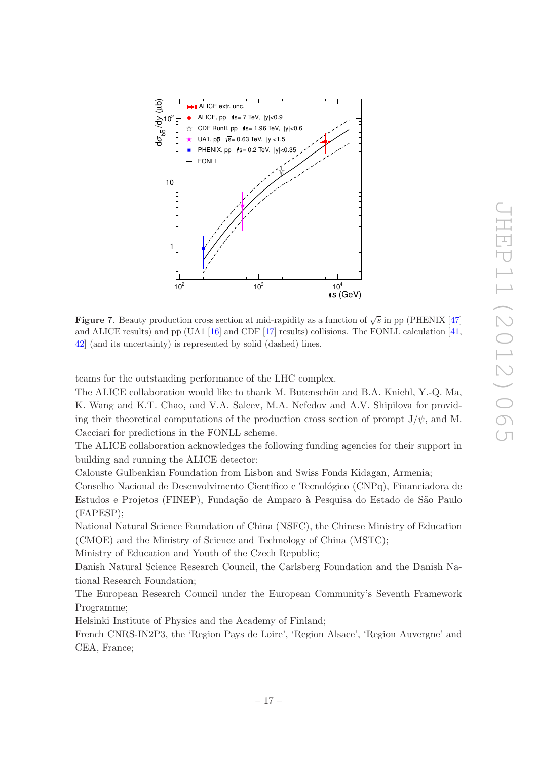

<span id="page-17-0"></span>**Figure 7.** Beauty production cross section at mid-rapidity as a function of  $\sqrt{s}$  in pp (PHENIX [\[47](#page-21-8)] and ALICE results) and  $p\bar{p}$  (UA1 [\[16\]](#page-19-9) and CDF [\[17\]](#page-19-10) results) collisions. The FONLL calculation [\[41](#page-21-3), [42](#page-21-4)] (and its uncertainty) is represented by solid (dashed) lines.

teams for the outstanding performance of the LHC complex.

The ALICE collaboration would like to thank M. Butenschön and B.A. Kniehl, Y.-Q. Ma, K. Wang and K.T. Chao, and V.A. Saleev, M.A. Nefedov and A.V. Shipilova for providing their theoretical computations of the production cross section of prompt  $J/\psi$ , and M. Cacciari for predictions in the FONLL scheme.

The ALICE collaboration acknowledges the following funding agencies for their support in building and running the ALICE detector:

Calouste Gulbenkian Foundation from Lisbon and Swiss Fonds Kidagan, Armenia;

Conselho Nacional de Desenvolvimento Científico e Tecnológico (CNPq), Financiadora de Estudos e Projetos (FINEP), Fundação de Amparo à Pesquisa do Estado de São Paulo (FAPESP);

National Natural Science Foundation of China (NSFC), the Chinese Ministry of Education (CMOE) and the Ministry of Science and Technology of China (MSTC);

Ministry of Education and Youth of the Czech Republic;

Danish Natural Science Research Council, the Carlsberg Foundation and the Danish National Research Foundation;

The European Research Council under the European Community's Seventh Framework Programme;

Helsinki Institute of Physics and the Academy of Finland;

French CNRS-IN2P3, the 'Region Pays de Loire', 'Region Alsace', 'Region Auvergne' and CEA, France;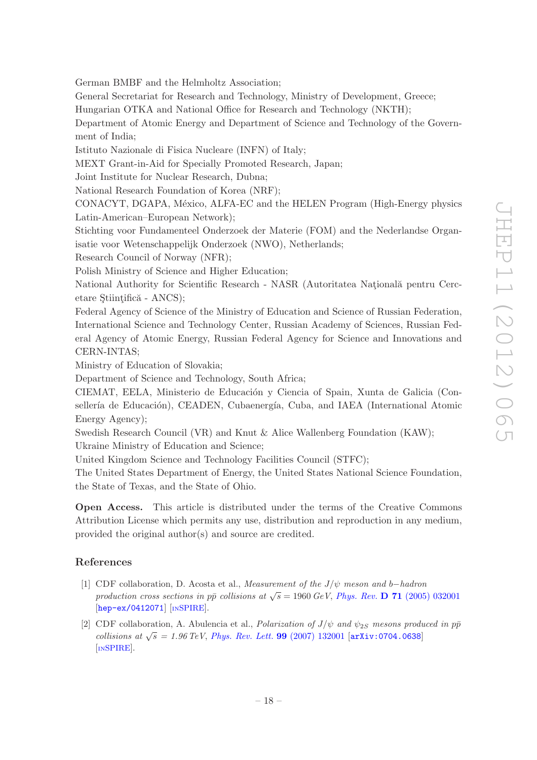German BMBF and the Helmholtz Association;

General Secretariat for Research and Technology, Ministry of Development, Greece;

Hungarian OTKA and National Office for Research and Technology (NKTH);

Department of Atomic Energy and Department of Science and Technology of the Government of India;

Istituto Nazionale di Fisica Nucleare (INFN) of Italy;

MEXT Grant-in-Aid for Specially Promoted Research, Japan;

Joint Institute for Nuclear Research, Dubna;

National Research Foundation of Korea (NRF);

CONACYT, DGAPA, México, ALFA-EC and the HELEN Program (High-Energy physics Latin-American–European Network);

Stichting voor Fundamenteel Onderzoek der Materie (FOM) and the Nederlandse Organisatie voor Wetenschappelijk Onderzoek (NWO), Netherlands;

Research Council of Norway (NFR);

Polish Ministry of Science and Higher Education;

National Authority for Scientific Research - NASR (Autoritatea Natională pentru Cercetare Stiintifică - ANCS);

Federal Agency of Science of the Ministry of Education and Science of Russian Federation, International Science and Technology Center, Russian Academy of Sciences, Russian Federal Agency of Atomic Energy, Russian Federal Agency for Science and Innovations and CERN-INTAS;

Ministry of Education of Slovakia;

Department of Science and Technology, South Africa;

CIEMAT, EELA, Ministerio de Educación y Ciencia of Spain, Xunta de Galicia (Consellería de Educación), CEADEN, Cubaenergía, Cuba, and IAEA (International Atomic Energy Agency);

Swedish Research Council (VR) and Knut & Alice Wallenberg Foundation (KAW);

Ukraine Ministry of Education and Science;

United Kingdom Science and Technology Facilities Council (STFC);

The United States Department of Energy, the United States National Science Foundation, the State of Texas, and the State of Ohio.

Open Access. This article is distributed under the terms of the Creative Commons Attribution License which permits any use, distribution and reproduction in any medium, provided the original author(s) and source are credited.

#### References

- <span id="page-18-0"></span>[1] CDF collaboration, D. Acosta et al., Measurement of the J/ψ meson and <sup>b</sup>−hadron production cross sections in  $p\bar{p}$  collisions at  $\sqrt{s} = 1960 \text{ GeV}$ , Phys. Rev. **D** 71 [\(2005\) 032001](http://dx.doi.org/10.1103/PhysRevD.71.032001) [[hep-ex/0412071](http://arxiv.org/abs/hep-ex/0412071)] [IN[SPIRE](http://inspirehep.net/search?p=find+J+Phys.Rev.,D71,032001)].
- <span id="page-18-1"></span>[2] CDF collaboration, A. Abulencia et al., *Polarization of*  $J/\psi$  and  $\psi_{2S}$  mesons produced in  $p\bar{p}$ collisions at  $\sqrt{s} = 1.96 \text{ TeV}$ , [Phys. Rev. Lett.](http://dx.doi.org/10.1103/PhysRevLett.99.132001) **99** (2007) 132001 [[arXiv:0704.0638](http://arxiv.org/abs/0704.0638)] [IN[SPIRE](http://inspirehep.net/search?p=find+J+Phys.Rev.Lett.,99,132001)].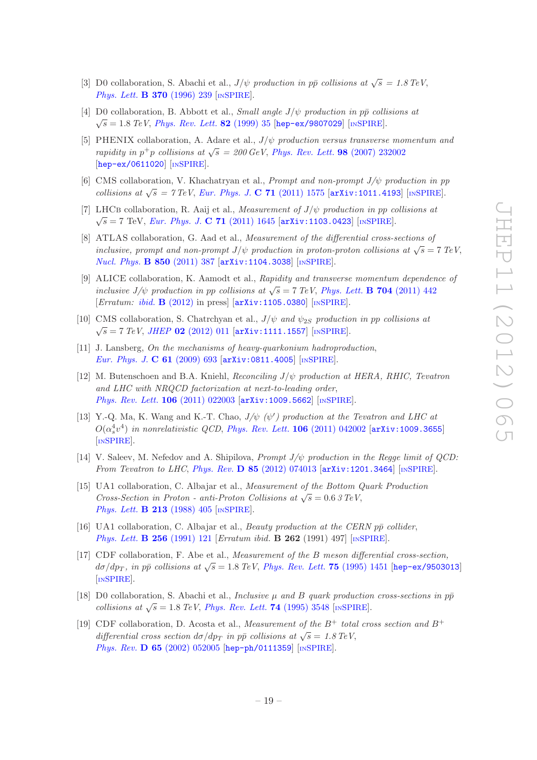- [3] D0 collaboration, S. Abachi et al.,  $J/\psi$  production in pp collisions at  $\sqrt{s} = 1.8 \text{ TeV}$ , [Phys. Lett.](http://dx.doi.org/10.1016/0370-2693(96)00067-6) **B 370** (1996) 239 [IN[SPIRE](http://inspirehep.net/search?p=find+J+Phys.Lett.,B370,239)].
- <span id="page-19-0"></span>[4] D0 collaboration, B. Abbott et al., *Small angle J/* $\psi$  *production in pp* collisions at  $\sqrt{s} = 1.8 \; TeV$ , *[Phys. Rev. Lett.](http://dx.doi.org/10.1103/PhysRevLett.82.35)* **82** (1999) 35 [[hep-ex/9807029](http://arxiv.org/abs/hep-ex/9807029)] [IN[SPIRE](http://inspirehep.net/search?p=find+J+Phys.Rev.Lett.,82,35)].
- <span id="page-19-1"></span>[5] PHENIX collaboration, A. Adare et al.,  $J/\psi$  production versus transverse momentum and rapidity in  $p^+p$  collisions at  $\sqrt{s} = 200 \text{ GeV}$ , [Phys. Rev. Lett.](http://dx.doi.org/10.1103/PhysRevLett.98.232002) **98** (2007) 232002 [[hep-ex/0611020](http://arxiv.org/abs/hep-ex/0611020)] [IN[SPIRE](http://inspirehep.net/search?p=find+J+Phys.Rev.Lett.,98,232002)].
- <span id="page-19-2"></span>[6] CMS collaboration, V. Khachatryan et al., Prompt and non-prompt  $J/\psi$  production in pp collisions at  $\sqrt{s} = 7 \text{ TeV}$ , [Eur. Phys. J.](http://dx.doi.org/10.1140/epjc/s10052-011-1575-8) C 71 (2011) 1575 [[arXiv:1011.4193](http://arxiv.org/abs/1011.4193)] [IN[SPIRE](http://inspirehep.net/search?p=find+J+Eur.Phys.J.,C71,1575)].
- <span id="page-19-12"></span>[7] LHCB collaboration, R. Aaij et al., Measurement of  $J/\psi$  production in pp collisions at  $\sqrt{s} = 7$  TeV, [Eur. Phys. J.](http://dx.doi.org/10.1140/epjc/s10052-011-1645-y) C 71 (2011) 1645 [[arXiv:1103.0423](http://arxiv.org/abs/1103.0423)] [IN[SPIRE](http://inspirehep.net/search?p=find+J+Eur.Phys.J.,C71,1645)].
- <span id="page-19-7"></span>[8] ATLAS collaboration, G. Aad et al., Measurement of the differential cross-sections of inclusive, prompt and non-prompt  $J/\psi$  production in proton-proton collisions at  $\sqrt{s} = 7 \text{ TeV}$ , [Nucl. Phys.](http://dx.doi.org/10.1016/j.nuclphysb.2011.05.015) **B 850** (2011) 387 [[arXiv:1104.3038](http://arxiv.org/abs/1104.3038)] [IN[SPIRE](http://inspirehep.net/search?p=find+J+Nucl.Phys.,B850,387)].
- <span id="page-19-6"></span>[9] ALICE collaboration, K. Aamodt et al., Rapidity and transverse momentum dependence of inclusive  $J/\psi$  production in pp collisions at  $\sqrt{s} = 7 \text{ TeV}$ , [Phys. Lett.](http://dx.doi.org/10.1016/j.physletb.2011.09.054) **B** 704 (2011) 442 [*Erratum: ibid.* **B** [\(2012\)](http://dx.doi.org/10.1016/j.physletb.2012.10.060) in press]  $\left[ \frac{\text{arXiv:1105.0380}}{\text{lnSPIRE}} \right]$  $\left[ \frac{\text{arXiv:1105.0380}}{\text{lnSPIRE}} \right]$  $\left[ \frac{\text{arXiv:1105.0380}}{\text{lnSPIRE}} \right]$  $\left[ \frac{\text{arXiv:1105.0380}}{\text{lnSPIRE}} \right]$  $\left[ \frac{\text{arXiv:1105.0380}}{\text{lnSPIRE}} \right]$ .
- <span id="page-19-3"></span>[10] CMS collaboration, S. Chatrchyan et al.,  $J/\psi$  and  $\psi_{2S}$  production in pp collisions at  $\sqrt{s}$  = 7 TeV, JHEP 02 [\(2012\) 011](http://dx.doi.org/10.1007/JHEP02(2012)011) [[arXiv:1111.1557](http://arxiv.org/abs/1111.1557)] [IN[SPIRE](http://inspirehep.net/search?p=find+J+JHEP,1202,011)].
- <span id="page-19-4"></span>[11] J. Lansberg, On the mechanisms of heavy-quarkonium hadroproduction, [Eur. Phys. J.](http://dx.doi.org/10.1140/epjc/s10052-008-0826-9) C  $61$  (2009) 693 [[arXiv:0811.4005](http://arxiv.org/abs/0811.4005)] [IN[SPIRE](http://inspirehep.net/search?p=find+J+Eur.Phys.J.,C61,693)].
- <span id="page-19-13"></span>[12] M. Butenschoen and B.A. Kniehl, Reconciling  $J/\psi$  production at HERA, RHIC, Tevatron and LHC with NRQCD factorization at next-to-leading order, [Phys. Rev. Lett.](http://dx.doi.org/10.1103/PhysRevLett.106.022003) 106 (2011) 022003 [[arXiv:1009.5662](http://arxiv.org/abs/1009.5662)] [IN[SPIRE](http://inspirehep.net/search?p=find+J+Phys.Rev.Lett.,106,022003)].
- <span id="page-19-14"></span>[13] Y.-Q. Ma, K. Wang and K.-T. Chao,  $J/\psi$  ( $\psi'$ ) production at the Tevatron and LHC at  $O(\alpha_s^4 v^4)$  in nonrelativistic QCD, [Phys. Rev. Lett.](http://dx.doi.org/10.1103/PhysRevLett.106.042002) **106** (2011) 042002  $\left[$ [arXiv:1009.3655](http://arxiv.org/abs/1009.3655)] [IN[SPIRE](http://inspirehep.net/search?p=find+J+Phys.Rev.Lett.,106,042002)].
- <span id="page-19-5"></span>[14] V. Saleev, M. Nefedov and A. Shipilova, *Prompt J/* $\psi$  *production in the Regge limit of QCD:* From Tevatron to LHC, Phys. Rev. D 85 [\(2012\) 074013](http://dx.doi.org/10.1103/PhysRevD.85.074013) [[arXiv:1201.3464](http://arxiv.org/abs/1201.3464)] [IN[SPIRE](http://inspirehep.net/search?p=find+J+Phys.Rev.,D85,074013)].
- <span id="page-19-8"></span>[15] UA1 collaboration, C. Albajar et al., Measurement of the Bottom Quark Production Cross-Section in Proton - anti-Proton Collisions at  $\sqrt{s} = 0.63 \,\text{TeV}$ , [Phys. Lett.](http://dx.doi.org/10.1016/0370-2693(88)91785-6) **B 213** (1988) 405 [IN[SPIRE](http://inspirehep.net/search?p=find+J+Phys.Lett.,B213,405)].
- <span id="page-19-9"></span>[16] UA1 collaboration, C. Albajar et al., Beauty production at the CERN  $p\bar{p}$  collider, [Phys. Lett.](http://dx.doi.org/10.1016/0370-2693(91)90228-I) **B 256** (1991) 121 [Erratum ibid. **B 262** (1991) 497] [IN[SPIRE](http://inspirehep.net/search?p=find+J+Phys.Lett.,B256,121)].
- <span id="page-19-10"></span>[17] CDF collaboration, F. Abe et al., Measurement of the B meson differential cross-section,  $d\sigma/dp_T$ , in  $p\bar{p}$  collisions at  $\sqrt{s} = 1.8$  TeV, [Phys. Rev. Lett.](http://dx.doi.org/10.1103/PhysRevLett.75.1451) 75 (1995) 1451 [[hep-ex/9503013](http://arxiv.org/abs/hep-ex/9503013)] [IN[SPIRE](http://inspirehep.net/search?p=find+J+Phys.Rev.Lett.,75,1451)].
- [18] D0 collaboration, S. Abachi et al., *Inclusive*  $\mu$  and B quark production cross-sections in  $p\bar{p}$ collisions at  $\sqrt{s} = 1.8$  TeV, [Phys. Rev. Lett.](http://dx.doi.org/10.1103/PhysRevLett.74.3548) 74 (1995) 3548 [IN[SPIRE](http://inspirehep.net/search?p=find+J+Phys.Rev.Lett.,74,3548)].
- <span id="page-19-11"></span>[19] CDF collaboration, D. Acosta et al., Measurement of the  $B^+$  total cross section and  $B^+$ differential cross section  $d\sigma/dp_T$  in  $p\bar{p}$  collisions at  $\sqrt{s} = 1.8$  TeV, Phys. Rev. **D 65** [\(2002\) 052005](http://dx.doi.org/10.1103/PhysRevD.65.052005) [[hep-ph/0111359](http://arxiv.org/abs/hep-ph/0111359)] [IN[SPIRE](http://inspirehep.net/search?p=find+J+Phys.Rev.,D65,052005)].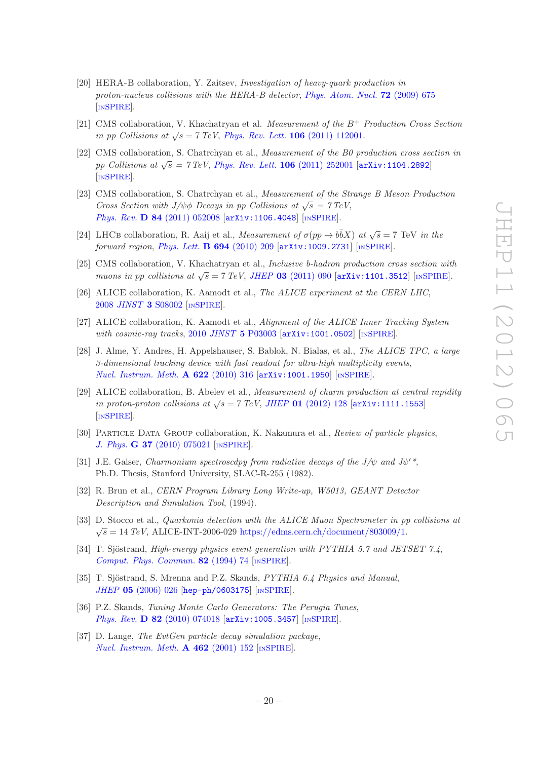- <span id="page-20-0"></span>[20] HERA-B collaboration, Y. Zaitsev, Investigation of heavy-quark production in proton-nucleus collisions with the HERA-B detector, [Phys. Atom. Nucl.](http://dx.doi.org/10.1134/S1063778809040139) **72** (2009) 675 [IN[SPIRE](http://inspirehep.net/search?p=find+J+Phys.At.Nucl.,72,675)].
- <span id="page-20-1"></span>[21] CMS collaboration, V. Khachatryan et al. Measurement of the  $B^+$  Production Cross Section in pp Collisions at  $\sqrt{s} = 7$  TeV, [Phys. Rev. Lett.](http://dx.doi.org/10.1103/PhysRevLett.106.252001) 106 (2011) 112001.
- [22] CMS collaboration, S. Chatrchyan et al., Measurement of the B0 production cross section in pp Collisions at  $\sqrt{s} = 7 \text{ TeV}$ , [Phys. Rev. Lett.](http://dx.doi.org/10.1103/PhysRevLett.106.252001) 106 (2011) 252001 [[arXiv:1104.2892](http://arxiv.org/abs/1104.2892)] [IN[SPIRE](http://inspirehep.net/search?p=find+J+Phys.Rev.Lett.,106,252001)].
- <span id="page-20-2"></span>[23] CMS collaboration, S. Chatrchyan et al., Measurement of the Strange B Meson Production Cross Section with  $J/\psi\phi$  Decays in pp Collisions at  $\sqrt{s} = 7 \,\mathrm{TeV}$ , Phys. Rev. D 84 [\(2011\) 052008](http://dx.doi.org/10.1103/PhysRevD.84.052008) [[arXiv:1106.4048](http://arxiv.org/abs/1106.4048)] [IN[SPIRE](http://inspirehep.net/search?p=find+J+Phys.Rev.,D84,052008)].
- <span id="page-20-3"></span>[24] LHCB collaboration, R. Aaij et al., Measurement of  $\sigma(pp \to b\bar{b}X)$  at  $\sqrt{s} = 7$  TeV in the forward region, [Phys. Lett.](http://dx.doi.org/10.1016/j.physletb.2010.10.010)  $B$  694 (2010) 209  $\left[$ [arXiv:1009.2731](http://arxiv.org/abs/1009.2731) $\right]$   $\left[$ IN[SPIRE](http://inspirehep.net/search?p=find+J+Phys.Lett.,B694,209) $\right]$ .
- <span id="page-20-4"></span>[25] CMS collaboration, V. Khachatryan et al., Inclusive b-hadron production cross section with muons in pp collisions at  $\sqrt{s} = 7 \text{ TeV}$ , JHEP 03 [\(2011\) 090](http://dx.doi.org/10.1007/JHEP03(2011)090) [[arXiv:1101.3512](http://arxiv.org/abs/1101.3512)] [IN[SPIRE](http://inspirehep.net/search?p=find+J+JHEP,1103,090)].
- <span id="page-20-5"></span>[26] ALICE collaboration, K. Aamodt et al., The ALICE experiment at the CERN LHC, 2008 JINST 3 [S08002](http://dx.doi.org/10.1088/1748-0221/3/08/S08002) [IN[SPIRE](http://inspirehep.net/search?p=find+J+JINST,3,S08002)].
- <span id="page-20-6"></span>[27] ALICE collaboration, K. Aamodt et al., Alignment of the ALICE Inner Tracking System with cosmic-ray tracks,  $2010$  JINST 5 [P03003](http://dx.doi.org/10.1088/1748-0221/5/03/P03003) [[arXiv:1001.0502](http://arxiv.org/abs/1001.0502)] [IN[SPIRE](http://inspirehep.net/search?p=find+J+JINST,5,P03003)].
- <span id="page-20-7"></span>[28] J. Alme, Y. Andres, H. Appelshauser, S. Bablok, N. Bialas, et al., The ALICE TPC, a large 3-dimensional tracking device with fast readout for ultra-high multiplicity events, [Nucl. Instrum. Meth.](http://dx.doi.org/10.1016/j.nima.2010.04.042) A 622 (2010) 316 [[arXiv:1001.1950](http://arxiv.org/abs/1001.1950)] [IN[SPIRE](http://inspirehep.net/search?p=find+J+Nucl.Inst.Meth.,A622,316)].
- <span id="page-20-8"></span>[29] ALICE collaboration, B. Abelev et al., Measurement of charm production at central rapidity in proton-proton collisions at  $\sqrt{s} = 7 \text{ TeV}$ , JHEP 01 [\(2012\) 128](http://dx.doi.org/10.1007/JHEP01(2012)128) [[arXiv:1111.1553](http://arxiv.org/abs/1111.1553)] [IN[SPIRE](http://inspirehep.net/search?p=find+J+JHEP,1201,128)].
- <span id="page-20-9"></span>[30] Particle Data Group collaboration, K. Nakamura et al., Review of particle physics, J. Phys. G 37 [\(2010\) 075021](http://dx.doi.org/10.1088/0954-3899/37/7A/075021) [IN[SPIRE](http://inspirehep.net/search?p=find+J+J.Phys.,G37,075021)].
- <span id="page-20-10"></span>[31] J.E. Gaiser, Charmonium spectroscdpy from radiative decays of the J/ $\psi$  and J $\psi^*$ , Ph.D. Thesis, Stanford University, SLAC-R-255 (1982).
- <span id="page-20-11"></span>[32] R. Brun et al., CERN Program Library Long Write-up, W5013, GEANT Detector Description and Simulation Tool, (1994).
- <span id="page-20-12"></span>[33] D. Stocco et al., Quarkonia detection with the ALICE Muon Spectrometer in pp collisions at  $\sqrt{s} = 14 \text{ TeV}$ , ALICE-INT-2006-029 [https://edms.cern.ch/document/803009/1.](https://edms.cern.ch/document/803009/1)
- <span id="page-20-13"></span>[34] T. Sjöstrand, High-energy physics event generation with PYTHIA 5.7 and JETSET 7.4, [Comput. Phys. Commun.](http://dx.doi.org/10.1016/0010-4655(94)90132-5) 82 (1994) 74 [IN[SPIRE](http://inspirehep.net/search?p=find+J+Comput.Phys.Commun.,82,74)].
- <span id="page-20-14"></span>[35] T. Sjöstrand, S. Mrenna and P.Z. Skands, PYTHIA 6.4 Physics and Manual, JHEP 05 [\(2006\) 026](http://dx.doi.org/10.1088/1126-6708/2006/05/026) [[hep-ph/0603175](http://arxiv.org/abs/hep-ph/0603175)] [IN[SPIRE](http://inspirehep.net/search?p=find+J+JHEP,0605,026)].
- <span id="page-20-15"></span>[36] P.Z. Skands, Tuning Monte Carlo Generators: The Perugia Tunes, Phys. Rev. D 82 [\(2010\) 074018](http://dx.doi.org/10.1103/PhysRevD.82.074018) [[arXiv:1005.3457](http://arxiv.org/abs/1005.3457)] [IN[SPIRE](http://inspirehep.net/search?p=find+EPRINT+arXiv:1005.3457)].
- <span id="page-20-16"></span>[37] D. Lange, The EvtGen particle decay simulation package, [Nucl. Instrum. Meth.](http://dx.doi.org/10.1016/S0168-9002(01)00089-4)  $\bf{A}$  462 (2001) 152 [IN[SPIRE](http://inspirehep.net/search?p=find+J+Nucl.Instrum.Meth.,A462,152)].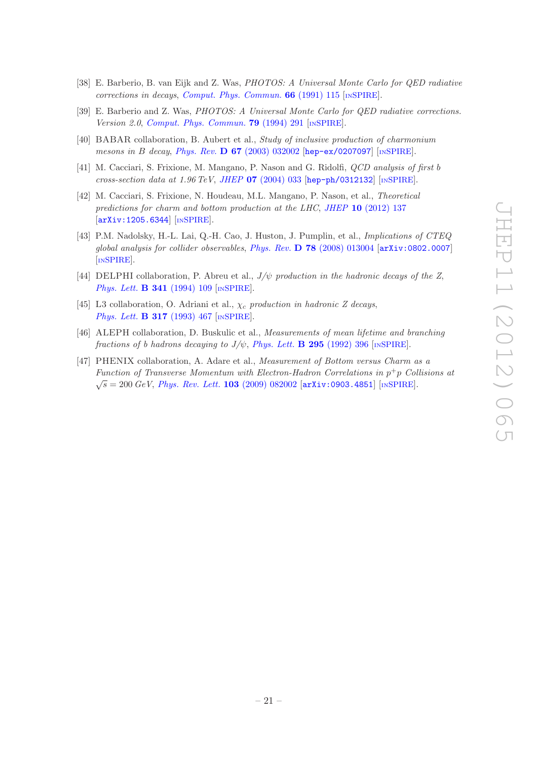- <span id="page-21-0"></span>[38] E. Barberio, B. van Eijk and Z. Was, PHOTOS: A Universal Monte Carlo for QED radiative corrections in decays, [Comput. Phys. Commun.](http://dx.doi.org/10.1016/0010-4655(91)90012-A) 66 (1991) 115 [IN[SPIRE](http://inspirehep.net/search?p=find+J+Comput.Phys.Commun.,66,115)].
- <span id="page-21-1"></span>[39] E. Barberio and Z. Was, PHOTOS: A Universal Monte Carlo for QED radiative corrections. Version 2.0, [Comput. Phys. Commun.](http://dx.doi.org/10.1016/0010-4655(94)90074-4) 79 (1994) 291 [IN[SPIRE](http://inspirehep.net/search?p=find+J+Comput.Phys.Commun.,79,291)].
- <span id="page-21-2"></span>[40] BABAR collaboration, B. Aubert et al., Study of inclusive production of charmonium mesons in B decay, Phys. Rev. D 67 [\(2003\) 032002](http://dx.doi.org/10.1103/PhysRevD.67.032002) [[hep-ex/0207097](http://arxiv.org/abs/hep-ex/0207097)] [IN[SPIRE](http://inspirehep.net/search?p=find+J+Phys.Rev.,D67,032002)].
- <span id="page-21-3"></span>[41] M. Cacciari, S. Frixione, M. Mangano, P. Nason and G. Ridolfi, QCD analysis of first b cross-section data at 1.96 TeV, JHEP  $07$  [\(2004\) 033](http://dx.doi.org/10.1088/1126-6708/2004/07/033) [[hep-ph/0312132](http://arxiv.org/abs/hep-ph/0312132)] [IN[SPIRE](http://inspirehep.net/search?p=find+J+JHEP,0407,033)].
- <span id="page-21-4"></span>[42] M. Cacciari, S. Frixione, N. Houdeau, M.L. Mangano, P. Nason, et al., Theoretical predictions for charm and bottom production at the LHC, JHEP 10 [\(2012\) 137](http://dx.doi.org/10.1007/JHEP10(2012)137)  $\left[$ [arXiv:1205.6344](http://arxiv.org/abs/1205.6344) $\right]$  $\left[$ IN[SPIRE](http://inspirehep.net/search?p=find+EPRINT+arXiv:1205.6344) $\right]$ .
- <span id="page-21-5"></span>[43] P.M. Nadolsky, H.-L. Lai, Q.-H. Cao, J. Huston, J. Pumplin, et al., Implications of CTEQ global analysis for collider observables, Phys. Rev.  $D$  78 [\(2008\) 013004](http://dx.doi.org/10.1103/PhysRevD.78.013004)  $\ar{xiv:0802.0007}$ [IN[SPIRE](http://inspirehep.net/search?p=find+J+Phys.Rev.,D78,013004)].
- <span id="page-21-6"></span>[44] DELPHI collaboration, P. Abreu et al.,  $J/\psi$  production in the hadronic decays of the Z, [Phys. Lett.](http://dx.doi.org/10.1016/0370-2693(94)01385-3) **B 341** (1994) 109 [IN[SPIRE](http://inspirehep.net/search?p=find+J+Phys.Lett.,B341,109)].
- [45] L3 collaboration, O. Adriani et al.,  $\chi_c$  production in hadronic Z decays, [Phys. Lett.](http://dx.doi.org/10.1016/0370-2693(93)91026-J) **B 317** (1993) 467 [IN[SPIRE](http://inspirehep.net/search?p=find+J+Phys.Lett.,B317,467)].
- <span id="page-21-7"></span>[46] ALEPH collaboration, D. Buskulic et al., Measurements of mean lifetime and branching fractions of b hadrons decaying to  $J/\psi$ , [Phys. Lett.](http://dx.doi.org/10.1016/0370-2693(92)91581-S) **B** 295 (1992) 396 [IN[SPIRE](http://inspirehep.net/search?p=find+J+Phys.Lett.,B295,396)].
- <span id="page-21-8"></span>[47] PHENIX collaboration, A. Adare et al., Measurement of Bottom versus Charm as a Function of Transverse Momentum with Electron-Hadron Correlations in  $p^+p$  Collisions at  $\sqrt{s} = 200 \text{ GeV},$  [Phys. Rev. Lett.](http://dx.doi.org/10.1103/PhysRevLett.103.082002) **103** (2009) 082002 [[arXiv:0903.4851](http://arxiv.org/abs/0903.4851)] [IN[SPIRE](http://inspirehep.net/search?p=find+J+Phys.Rev.Lett.,103,082002)].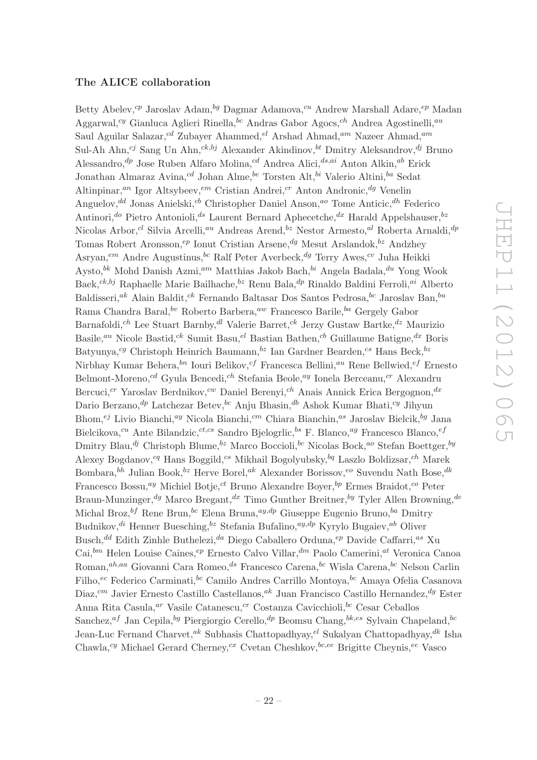### <span id="page-22-0"></span>The ALICE collaboration

Betty Abelev,<sup>cp</sup> Jaroslav Adam,<sup>bg</sup> Dagmar Adamova,<sup>cu</sup> Andrew Marshall Adare,<sup>ep</sup> Madan Aggarwal,<sup>cy</sup> Gianluca Aglieri Rinella,<sup>bc</sup> Andras Gabor Agocs,<sup>ch</sup> Andrea Agostinelli,<sup>au</sup> Saul Aguilar Salazar,<sup>cd</sup> Zubayer Ahammed,<sup>el</sup> Arshad Ahmad,<sup>am</sup> Nazeer Ahmad,<sup>am</sup> Sul-Ah Ahn,<sup>cj</sup> Sang Un Ahn,<sup>ck,bj</sup> Alexander Akindinov,<sup>bt</sup> Dmitry Aleksandrov,<sup>dj</sup> Bruno Alessandro,  ${}^{dp}$  Jose Ruben Alfaro Molina,  ${}^{cd}$  Andrea Alici,  ${}^{ds,ai}$  Anton Alkin,  ${}^{ab}$  Erick Jonathan Almaraz Avina, <sup>cd</sup> Johan Alme, <sup>be</sup> Torsten Alt, <sup>bi</sup> Valerio Altini, <sup>ba</sup> Sedat Altinpinar,<sup>an</sup> Igor Altsybeev,<sup>em</sup> Cristian Andrei,<sup>cr</sup> Anton Andronic,<sup>dg</sup> Venelin Anguelov,<sup>dd</sup> Jonas Anielski,<sup>cb</sup> Christopher Daniel Anson,<sup>ao</sup> Tome Anticic,<sup>dh</sup> Federico Antinori,<sup>do</sup> Pietro Antonioli,<sup>ds</sup> Laurent Bernard Aphecetche,<sup>dx</sup> Harald Appelshauser,<sup>bz</sup> Nicolas Arbor,<sup>cl</sup> Silvia Arcelli,<sup>au</sup> Andreas Arend,<sup>bz</sup> Nestor Armesto,<sup>al</sup> Roberta Arnaldi,<sup>dp</sup> Tomas Robert Aronsson,<sup>ep</sup> Ionut Cristian Arsene,<sup>dg</sup> Mesut Arslandok, <sup>bz</sup> Andzhey Asryan,<sup>em</sup> Andre Augustinus, <sup>bc</sup> Ralf Peter Averbeck, <sup>dg</sup> Terry Awes, <sup>cv</sup> Juha Heikki Aysto, <sup>bk</sup> Mohd Danish Azmi, <sup>am</sup> Matthias Jakob Bach, <sup>bi</sup> Angela Badala, <sup>du</sup> Yong Wook Baek, $c^{k,bj}$  Raphaelle Marie Bailhache, $b^z$  Renu Bala, $dp$  Rinaldo Baldini Ferroli, $a^i$  Alberto Baldisseri, ak Alain Baldit,  $c^k$  Fernando Baltasar Dos Santos Pedrosa,  $^{bc}$  Jaroslav Ban,  $^{bu}$ Rama Chandra Baral, <sup>bv</sup> Roberto Barbera,  $a^w$  Francesco Barile, <sup>ba</sup> Gergely Gabor Barnafoldi,<sup>ch</sup> Lee Stuart Barnby,<sup>dl</sup> Valerie Barret,<sup>ck</sup> Jerzy Gustaw Bartke,<sup>dz</sup> Maurizio Basile,<sup>au</sup> Nicole Bastid,<sup>ck</sup> Sumit Basu,<sup>el</sup> Bastian Bathen,<sup>cb</sup> Guillaume Batigne,<sup>dx</sup> Boris Batyunya,<sup>cg</sup> Christoph Heinrich Baumann,  $b^z$  Ian Gardner Bearden,<sup>cs</sup> Hans Beck,  $b^z$ Nirbhay Kumar Behera, $^{bn}$  Iouri Belikov, $^{cf}$  Francesca Bellini, $^{au}$  Rene Bellwied, $^{ef}$  Ernesto Belmont-Moreno,<sup>cd</sup> Gyula Bencedi,<sup>ch</sup> Stefania Beole,<sup>ay</sup> Ionela Berceanu,<sup>cr</sup> Alexandru Bercuci,<sup>cr</sup> Yaroslav Berdnikov,<sup>cw</sup> Daniel Berenyi,<sup>ch</sup> Anais Annick Erica Bergognon,<sup>dx</sup> Dario Berzano,  ${}^{dp}$  Latchezar Betev,  ${}^{bc}$  Anju Bhasin,  ${}^{db}$  Ashok Kumar Bhati,  ${}^{cy}$  Jihyun Bhom, $e^{i}$  Livio Bianchi, $a^{g}$  Nicola Bianchi, $c^{m}$  Chiara Bianchin, $a^{s}$  Jaroslav Bielcik, $^{bg}$  Jana Bielcikova,<sup>cu</sup> Ante Bilandzic,<sup>ct,cs</sup> Sandro Bjelogrlic,<sup>bs</sup> F. Blanco,<sup>ag</sup> Francesco Blanco,<sup>ef</sup> Dmitry Blau,<sup>dj</sup> Christoph Blume, <sup>bz</sup> Marco Boccioli, <sup>bc</sup> Nicolas Bock,<sup>ao</sup> Stefan Boettger, <sup>by</sup> Alexey Bogdanov,<sup>cq</sup> Hans Boggild,<sup>cs</sup> Mikhail Bogolyubsky,<sup>bq</sup> Laszlo Boldizsar,<sup>ch</sup> Marek Bombara, <sup>bh</sup> Julian Book, <sup>bz</sup> Herve Borel, <sup>ak</sup> Alexander Borissov, <sup>eo</sup> Suvendu Nath Bose, <sup>dk</sup> Francesco Bossu,<sup>ay</sup> Michiel Botje,<sup>ct</sup> Bruno Alexandre Boyer,<sup>bp</sup> Ermes Braidot,<sup>co</sup> Peter Braun-Munzinger,<sup>dg</sup> Marco Bregant,<sup>dx</sup> Timo Gunther Breitner, <sup>by</sup> Tyler Allen Browning, <sup>de</sup> Michal Broz, <sup>bf</sup> Rene Brun, <sup>bc</sup> Elena Bruna,<sup>ay,dp</sup> Giuseppe Eugenio Bruno, <sup>ba</sup> Dmitry Budnikov,<sup>di</sup> Henner Buesching,<sup>bz</sup> Stefania Bufalino,<sup>ay,dp</sup> Kyrylo Bugaiev,<sup>ab</sup> Oliver Busch, <sup>dd</sup> Edith Zinhle Buthelezi, <sup>da</sup> Diego Caballero Orduna, <sup>ep</sup> Davide Caffarri, <sup>as</sup> Xu Cai, $^{bm}$  Helen Louise Caines,<sup>ep</sup> Ernesto Calvo Villar, $^{dm}$  Paolo Camerini,<sup>at</sup> Veronica Canoa Roman, $a^{h,aa}$  Giovanni Cara Romeo, $a^s$  Francesco Carena, $b^c$  Wisla Carena, $b^c$  Nelson Carlin Filho,  $e^c$  Federico Carminati,  $e^c$  Camilo Andres Carrillo Montoya,  $e^c$  Amaya Ofelia Casanova Diaz,<sup>cm</sup> Javier Ernesto Castillo Castellanos,<sup>ak</sup> Juan Francisco Castillo Hernandez,<sup>dg</sup> Ester Anna Rita Casula,  $a^r$  Vasile Catanescu,  $c^r$  Costanza Cavicchioli,  $b^c$  Cesar Ceballos Sanchez,<sup>af</sup> Jan Cepila, <sup>bg</sup> Piergiorgio Cerello, <sup>dp</sup> Beomsu Chang, <sup>bk,es</sup> Sylvain Chapeland, <sup>bc</sup> Jean-Luc Fernand Charvet,<sup>ak</sup> Subhasis Chattopadhyay,<sup>el</sup> Sukalyan Chattopadhyay,<sup>dk</sup> Isha Chawla,<sup>cy</sup> Michael Gerard Cherney,<sup>cx</sup> Cvetan Cheshkov,  $^{bc,ee}$  Brigitte Cheynis, <sup>ee</sup> Vasco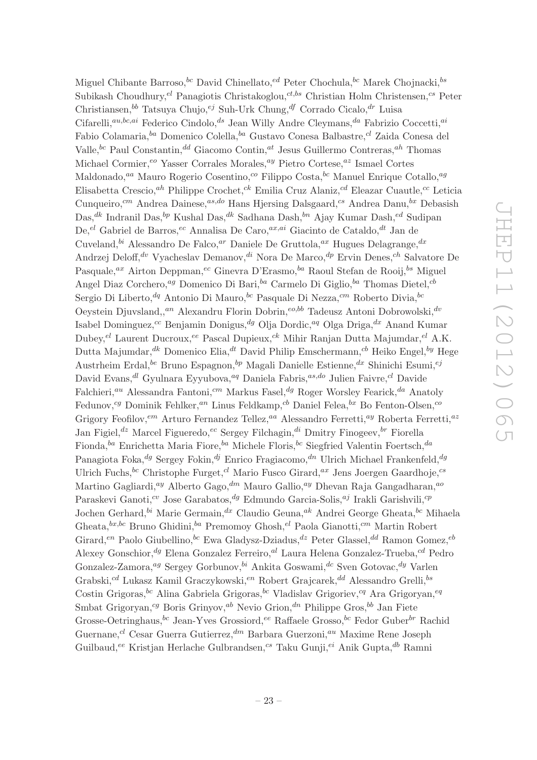Miguel Chibante Barroso, <sup>bc</sup> David Chinellato, <sup>ed</sup> Peter Chochula, <sup>bc</sup> Marek Chojnacki, <sup>bs</sup> Subikash Choudhury, <sup>el</sup> Panagiotis Christakoglou,  $ct, bs$  Christian Holm Christensen, <sup>cs</sup> Peter Christiansen, <sup>bb</sup> Tatsuya Chujo, <sup>ej</sup> Suh-Urk Chung, <sup>df</sup> Corrado Cicalo, <sup>dr</sup> Luisa Cifarelli, $a^{u,bc,ai}$  Federico Cindolo, $a^{ds}$  Jean Willy Andre Cleymans, $a^{da}$  Fabrizio Coccetti, $a^{ii}$ Fabio Colamaria,  $^{ba}$  Domenico Colella,  $^{ba}$  Gustavo Conesa Balbastre,  $^{cl}$  Zaida Conesa del Valle,  ${}^{bc}$  Paul Constantin,  ${}^{dd}$  Giacomo Contin,  ${}^{at}$  Jesus Guillermo Contreras,  ${}^{ah}$  Thomas Michael Cormier,  $e^o$  Yasser Corrales Morales,  $a^y$  Pietro Cortese,  $a^z$  Ismael Cortes Maldonado,<sup>aa</sup> Mauro Rogerio Cosentino,<sup>co</sup> Filippo Costa, <sup>bc</sup> Manuel Enrique Cotallo,<sup>ag</sup> Elisabetta Crescio,<sup>ah</sup> Philippe Crochet,<sup>ck</sup> Emilia Cruz Alaniz,<sup>cd</sup> Eleazar Cuautle,<sup>cc</sup> Leticia Cunqueiro,<sup>cm</sup> Andrea Dainese,<sup>as,do</sup> Hans Hjersing Dalsgaard,<sup>cs</sup> Andrea Danu, <sup>bx</sup> Debasish  $\text{Das},\text{dk}$  Indranil Das,  $\text{kp}$  Kushal Das,  $\text{dk}$  Sadhana Dash,  $\text{bn}$  Ajay Kumar Dash,  $\text{ed}$  Sudipan De, el Gabriel de Barros, ec Annalisa De Caro,  $ax,ai$  Giacinto de Cataldo,  $dt$  Jan de Cuveland,<sup>bi</sup> Alessandro De Falco,<sup>ar</sup> Daniele De Gruttola,<sup>ax</sup> Hugues Delagrange,<sup>dx</sup> Andrzej Deloff, <sup>dv</sup> Vyacheslav Demanov, <sup>di</sup> Nora De Marco, <sup>dp</sup> Ervin Denes, <sup>ch</sup> Salvatore De Pasquale,<sup>ax</sup> Airton Deppman,<sup>ec</sup> Ginevra D'Erasmo, <sup>ba</sup> Raoul Stefan de Rooij, <sup>bs</sup> Miguel Angel Diaz Corchero,<sup>ag</sup> Domenico Di Bari,<sup>ba</sup> Carmelo Di Giglio,<sup>ba</sup> Thomas Dietel,<sup>cb</sup> Sergio Di Liberto, <sup>dq</sup> Antonio Di Mauro, <sup>bc</sup> Pasquale Di Nezza, <sup>cm</sup> Roberto Divia, <sup>bc</sup> Oeystein Djuvsland,, $a_n$  Alexandru Florin Dobrin, $e^{o,bb}$  Tadeusz Antoni Dobrowolski, $a_n$ Isabel Dominguez,<sup>cc</sup> Benjamin Donigus,<sup>dg</sup> Olja Dordic,<sup>aq</sup> Olga Driga,<sup>dx</sup> Anand Kumar Dubey,<sup>el</sup> Laurent Ducroux,<sup>ee</sup> Pascal Dupieux,<sup>ck</sup> Mihir Ranjan Dutta Majumdar,<sup>el</sup> A.K. Dutta Majumdar, <sup>dk</sup> Domenico Elia, <sup>dt</sup> David Philip Emschermann, <sup>cb</sup> Heiko Engel, <sup>by</sup> Hege Austrheim Erdal, be Bruno Espagnon, bp Magali Danielle Estienne, dx Shinichi Esumi, ej David Evans,<sup>dl</sup> Gyulnara Eyyubova,<sup>aq</sup> Daniela Fabris,<sup>as,do</sup> Julien Faivre,<sup>cl</sup> Davide Falchieri,<sup>au</sup> Alessandra Fantoni,<sup>cm</sup> Markus Fasel,<sup>dg</sup> Roger Worsley Fearick,<sup>da</sup> Anatoly Fedunov,<sup>cg</sup> Dominik Fehlker,<sup>an</sup> Linus Feldkamp,<sup>cb</sup> Daniel Felea,<sup>bx</sup> Bo Fenton-Olsen,<sup>co</sup> Grigory Feofilov,<sup>em</sup> Arturo Fernandez Tellez,<sup>aa</sup> Alessandro Ferretti,<sup>ay</sup> Roberta Ferretti,<sup>az</sup> Jan Figiel,<sup>dz</sup> Marcel Figueredo,<sup>ec</sup> Sergey Filchagin,<sup>di</sup> Dmitry Finogeev,<sup>br</sup> Fiorella Fionda,  $^{ba}$  Enrichetta Maria Fiore,  $^{ba}$  Michele Floris,  $^{bc}$  Siegfried Valentin Foertsch,  $^{da}$ Panagiota Foka,<sup>dg</sup> Sergey Fokin,<sup>dj</sup> Enrico Fragiacomo,<sup>dn</sup> Ulrich Michael Frankenfeld,<sup>dg</sup> Ulrich Fuchs, <sup>bc</sup> Christophe Furget,<sup>cl</sup> Mario Fusco Girard,<sup>ax</sup> Jens Joergen Gaardhoje,<sup>cs</sup> Martino Gagliardi,<sup>ay</sup> Alberto Gago,<sup>dm</sup> Mauro Gallio,<sup>ay</sup> Dhevan Raja Gangadharan,<sup>ao</sup> Paraskevi Ganoti,<sup>cv</sup> Jose Garabatos,<sup>dg</sup> Edmundo Garcia-Solis,<sup>aj</sup> Irakli Garishvili,<sup>cp</sup> Jochen Gerhard,  $^{bi}$  Marie Germain,  $^{dx}$  Claudio Geuna,  $^{ak}$  Andrei George Gheata,  $^{bc}$  Mihaela Gheata,  ${}^{bx,bc}$  Bruno Ghidini,  ${}^{ba}$  Premomoy Ghosh,  ${}^{el}$  Paola Gianotti,  ${}^{cm}$  Martin Robert Girard,<sup>en</sup> Paolo Giubellino, <sup>bc</sup> Ewa Gladysz-Dziadus, <sup>dz</sup> Peter Glassel, <sup>dd</sup> Ramon Gomez, <sup>eb</sup> Alexey Gonschior,  $dg$  Elena Gonzalez Ferreiro,  $d$ <sup>I</sup> Laura Helena Gonzalez-Trueba,  $cd$  Pedro Gonzalez-Zamora,<sup>ag</sup> Sergey Gorbunov, <sup>bi</sup> Ankita Goswami, <sup>dc</sup> Sven Gotovac, <sup>dy</sup> Varlen Grabski, $c^d$  Lukasz Kamil Graczykowski, $e^n$  Robert Grajcarek, $^{dd}$  Alessandro Grelli, $^{bs}$ Costin Grigoras, <sup>bc</sup> Alina Gabriela Grigoras, <sup>bc</sup> Vladislav Grigoriev,<sup>cq</sup> Ara Grigoryan,<sup>eq</sup> Smbat Grigoryan,<sup>cg</sup> Boris Grinyov,<sup>ab</sup> Nevio Grion,<sup>dn</sup> Philippe Gros,<sup>bb</sup> Jan Fiete Grosse-Oetringhaus,  ${}^{bc}$  Jean-Yves Grossiord,  ${}^{ee}$  Raffaele Grosso,  ${}^{bc}$  Fedor Guber ${}^{br}$  Rachid Guernane,<sup>cl</sup> Cesar Guerra Gutierrez,<sup>dm</sup> Barbara Guerzoni,<sup>au</sup> Maxime Rene Joseph Guilbaud,  $e^e$  Kristjan Herlache Gulbrandsen,  $e^s$  Taku Gunji,  $e^i$  Anik Gupta,  $d^b$  Ramni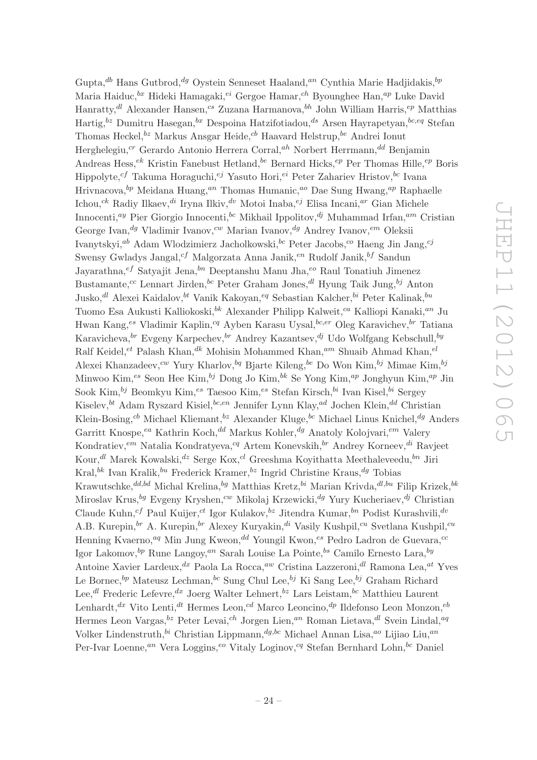Gupta,<sup>db</sup> Hans Gutbrod,<sup>dg</sup> Oystein Senneset Haaland,<sup>an</sup> Cynthia Marie Hadjidakis,<sup>bp</sup> Maria Haiduc,  ${}^{bx}$  Hideki Hamagaki,  ${}^{ei}$  Gergoe Hamar,  ${}^{ch}$  Byounghee Han,  ${}^{ap}$  Luke David Hanratty,<sup>dl</sup> Alexander Hansen,<sup>cs</sup> Zuzana Harmanova,<sup>bh</sup> John William Harris,<sup>ep</sup> Matthias Hartig,  $b^z$  Dumitru Hasegan,  $b^x$  Despoina Hatzifotiadou,  $ds$  Arsen Hayrapetyan,  $bc,eq$  Stefan Thomas Heckel, $b^z$  Markus Ansgar Heide, $c^b$  Haavard Helstrup, $b^e$  Andrei Ionut Herghelegiu,<sup>cr</sup> Gerardo Antonio Herrera Corral,<sup>ah</sup> Norbert Herrmann,<sup>dd</sup> Benjamin Andreas Hess,  $e^{k}$  Kristin Fanebust Hetland,  $be$  Bernard Hicks,  $ep$  Per Thomas Hille,  $ep$  Boris Hippolyte,<sup>cf</sup> Takuma Horaguchi,<sup>ej</sup> Yasuto Hori,<sup>ei</sup> Peter Zahariev Hristov, <sup>bc</sup> Ivana Hrivnacova, <sup>bp</sup> Meidana Huang, <sup>an</sup> Thomas Humanic, <sup>ao</sup> Dae Sung Hwang, <sup>ap</sup> Raphaelle Ichou, $c^k$  Radiy Ilkaev, $d^i$  Iryna Ilkiv, $d^v$  Motoi Inaba, $e^j$  Elisa Incani, $a^r$  Gian Michele Innocenti,<sup>ay</sup> Pier Giorgio Innocenti, <sup>bc</sup> Mikhail Ippolitov, <sup>dj</sup> Muhammad Irfan, <sup>am</sup> Cristian George Ivan, <sup>dg</sup> Vladimir Ivanov, <sup>cw</sup> Marian Ivanov, <sup>dg</sup> Andrey Ivanov, <sup>em</sup> Oleksii Ivanytskyi, $a^b$  Adam Wlodzimierz Jacholkowski, $b^c$  Peter Jacobs, $c^o$  Haeng Jin Jang, $c^j$ Swensy Gwladys Jangal,<sup>cf</sup> Malgorzata Anna Janik,<sup>en</sup> Rudolf Janik,<sup>bf</sup> Sandun Jayarathna,  $e^f$  Satyajit Jena,  $\delta^n$  Deeptanshu Manu Jha,  $\epsilon^o$  Raul Tonatiuh Jimenez Bustamante,<sup>cc</sup> Lennart Jirden,<sup>bc</sup> Peter Graham Jones,<sup>dl</sup> Hyung Taik Jung,<sup>bj</sup> Anton Jusko,  $d^{l}$  Alexei Kaidalov,  $b^{t}$  Vanik Kakoyan,  $^{eq}$  Sebastian Kalcher,  $^{bi}$  Peter Kalinak,  $^{bu}$ Tuomo Esa Aukusti Kalliokoski, <sup>bk</sup> Alexander Philipp Kalweit, <sup>ca</sup> Kalliopi Kanaki, <sup>an</sup> Ju Hwan Kang,<sup>es</sup> Vladimir Kaplin,<sup>cq</sup> Ayben Karasu Uysal,<sup>bc,er</sup> Oleg Karavichev,<sup>br</sup> Tatiana Karavicheva, <sup>br</sup> Evgeny Karpechev, <sup>br</sup> Andrey Kazantsev, <sup>dj</sup> Udo Wolfgang Kebschull, <sup>by</sup> Ralf Keidel,  $e^{t}$  Palash Khan,  $dk$  Mohisin Mohammed Khan,  $a^{m}$  Shuaib Ahmad Khan,  $e^{l}$ Alexei Khanzadeev,<sup>cw</sup> Yury Kharlov,<sup>bq</sup> Bjarte Kileng,<sup>be</sup> Do Won Kim,<sup>bj</sup> Mimae Kim,<sup>bj</sup> Minwoo Kim, <sup>es</sup> Seon Hee Kim, <sup>bj</sup> Dong Jo Kim, <sup>bk</sup> Se Yong Kim, <sup>ap</sup> Jonghyun Kim, <sup>ap</sup> Jin Sook Kim,  $^{bj}$  Beomkyu Kim,  $^{es}$  Taesoo Kim,  $^{es}$  Stefan Kirsch,  $^{bi}$  Ivan Kisel,  $^{bi}$  Sergey Kiselev, <sup>bt</sup> Adam Ryszard Kisiel,  $bc, en$  Jennifer Lynn Klay, <sup>ad</sup> Jochen Klein, <sup>dd</sup> Christian Klein-Bosing,<sup>cb</sup> Michael Kliemant,<sup>bz</sup> Alexander Kluge,<sup>bc</sup> Michael Linus Knichel,<sup>dg</sup> Anders Garritt Knospe, <sup>ea</sup> Kathrin Koch, <sup>dd</sup> Markus Kohler, <sup>dg</sup> Anatoly Kolojvari, <sup>em</sup> Valery Kondratiev, $e^{im}$  Natalia Kondratyeva, $^{cq}$  Artem Konevskih, $^{br}$  Andrey Korneev, $^{di}$  Ravjeet Kour,<sup>dl</sup> Marek Kowalski,<sup>dz</sup> Serge Kox,<sup>cl</sup> Greeshma Koyithatta Meethaleveedu,<sup>bn</sup> Jiri Kral, <sup>bk</sup> Ivan Kralik, <sup>bu</sup> Frederick Kramer, <sup>bz</sup> Ingrid Christine Kraus, <sup>dg</sup> Tobias Krawutschke,  $^{dd, bd}$  Michal Krelina,  $^{bg}$  Matthias Kretz,  $^{bi}$  Marian Krivda,  $^{dl, bu}$  Filip Krizek,  $^{bk}$ Miroslav Krus, <sup>bg</sup> Evgeny Kryshen,<sup>cw</sup> Mikolaj Krzewicki, <sup>dg</sup> Yury Kucheriaev, <sup>dj</sup> Christian Claude Kuhn,<sup>cf</sup> Paul Kuijer,<sup>ct</sup> Igor Kulakov,<sup>bz</sup> Jitendra Kumar,<sup>bn</sup> Podist Kurashvili,<sup>dv</sup> A.B. Kurepin, <sup>br</sup> A. Kurepin, <sup>br</sup> Alexey Kuryakin, <sup>di</sup> Vasily Kushpil, <sup>cu</sup> Svetlana Kushpil, <sup>cu</sup> Henning Kvaerno,<sup>aq</sup> Min Jung Kweon,<sup>dd</sup> Youngil Kwon,<sup>es</sup> Pedro Ladron de Guevara,<sup>cc</sup> Igor Lakomov,  $^{bp}$  Rune Langoy,  $^{an}$  Sarah Louise La Pointe,  $^{bs}$  Camilo Ernesto Lara,  $^{by}$ Antoine Xavier Lardeux,  $dx$  Paola La Rocca,  $^{aw}$  Cristina Lazzeroni,  $^{dl}$  Ramona Lea,  $^{at}$  Yves Le Bornec,  ${}^{bp}$  Mateusz Lechman,  ${}^{bc}$  Sung Chul Lee,  ${}^{bj}$  Ki Sang Lee,  ${}^{bj}$  Graham Richard Lee,<sup>dl</sup> Frederic Lefevre,<sup>dx</sup> Joerg Walter Lehnert,<sup>bz</sup> Lars Leistam,<sup>bc</sup> Matthieu Laurent Lenhardt, dx Vito Lenti, dt Hermes Leon, cd Marco Leoncino, dp Ildefonso Leon Monzon, cb Hermes Leon Vargas,  $b^z$  Peter Levai,  $ch$  Jorgen Lien,  $an$  Roman Lietava,  $d^l$  Svein Lindal,  $aq$ Volker Lindenstruth, <sup>bi</sup> Christian Lippmann, <sup>dg, bc</sup> Michael Annan Lisa, <sup>ao</sup> Lijiao Liu, <sup>an</sup> Per-Ivar Loenne,<sup>an</sup> Vera Loggins,<sup>eo</sup> Vitaly Loginov,<sup>cq</sup> Stefan Bernhard Lohn, <sup>bc</sup> Daniel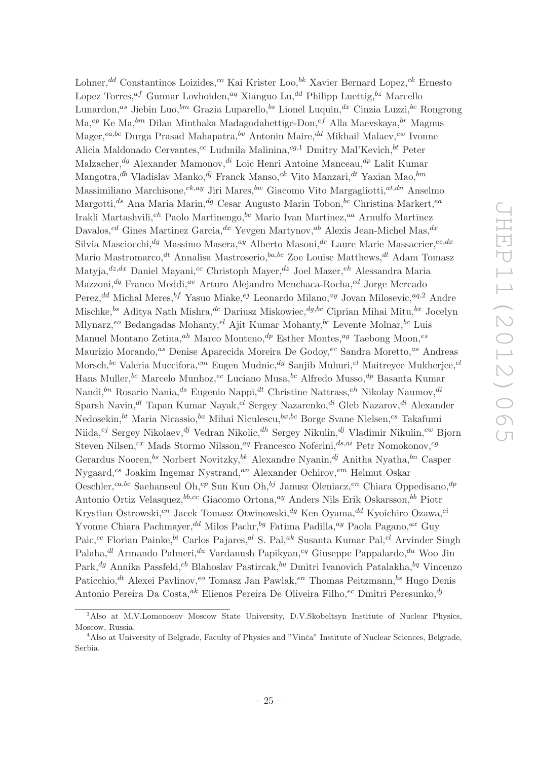Lohner,<sup>dd</sup> Constantinos Loizides,<sup>co</sup> Kai Krister Loo,<sup>bk</sup> Xavier Bernard Lopez,<sup>ck</sup> Ernesto Lopez Torres,<sup>af</sup> Gunnar Lovhoiden,<sup>aq</sup> Xianguo Lu,<sup>dd</sup> Philipp Luettig, <sup>bz</sup> Marcello Lunardon,<sup>as</sup> Jiebin Luo,<sup>bm</sup> Grazia Luparello,<sup>bs</sup> Lionel Luquin,<sup>dx</sup> Cinzia Luzzi,<sup>bc</sup> Rongrong  $\text{Ma},^{ep}$  Ke Ma, $^{bm}$  Dilan Minthaka Madagodahettige-Don,  $^{ef}$  Alla Maevskaya, $^{br}$  Magnus Mager, $c^{a,bc}$  Durga Prasad Mahapatra, $^{bv}$  Antonin Maire, $^{dd}$  Mikhail Malaev, $^{cw}$  Ivonne Alicia Maldonado Cervantes, cc Ludmila Malinina, c<sup>g,1</sup> Dmitry Mal'Kevich, <sup>bt</sup> Peter Malzacher,  $dg$  Alexander Mamonov,  $di$  Loic Henri Antoine Manceau,  $dp$  Lalit Kumar Mangotra, $^{db}$  Vladislav Manko, $^{db}$  Franck Manso, $^{ck}$  Vito Manzari, $^{dt}$  Yaxian Mao, $^{bm}$ Massimiliano Marchisone, $c^{k,ay}$  Jiri Mares, $^{bw}$  Giacomo Vito Margagliotti, $^{at,dn}$  Anselmo Margotti,<sup>ds</sup> Ana Maria Marin,<sup>dg</sup> Cesar Augusto Marin Tobon, <sup>bc</sup> Christina Markert, <sup>ea</sup> Irakli Martashvili,  $e^{h}$  Paolo Martinengo,  $e^{h}$  Mario Ivan Martinez,  $a^{a}$  Arnulfo Martinez Davalos,<sup>cd</sup> Gines Martinez Garcia,<sup>dx</sup> Yevgen Martynov,<sup>ab</sup> Alexis Jean-Michel Mas,<sup>dx</sup> Silvia Masciocchi, <sup>dg</sup> Massimo Masera, <sup>ay</sup> Alberto Masoni, <sup>dr</sup> Laure Marie Massacrier, <sup>ee, dx</sup> Mario Mastromarco, dt Annalisa Mastroserio,  $^{ba, bc}$  Zoe Louise Matthews, dl Adam Tomasz Matyja, $dz$ ,dx Daniel Mayani,<sup>cc</sup> Christoph Mayer,<sup>dz</sup> Joel Mazer,<sup>ch</sup> Alessandra Maria Mazzoni, $^{dq}$  Franco Meddi, $^{av}$  Arturo Alejandro Menchaca-Rocha, $^{cd}$  Jorge Mercado Perez,<sup>dd</sup> Michal Meres, <sup>bf</sup> Yasuo Miake, <sup>ej</sup> Leonardo Milano, <sup>ay</sup> Jovan Milosevic, <sup>aq, 2</sup> Andre Mischke, <sup>bs</sup> Aditya Nath Mishra, <sup>dc</sup> Dariusz Miskowiec, <sup>dg,bc</sup> Ciprian Mihai Mitu, <sup>bx</sup> Jocelyn Mlynarz,  $e^o$  Bedangadas Mohanty,  $e^l$  Ajit Kumar Mohanty,  $e^c$  Levente Molnar,  $e^c$  Luis Manuel Montano Zetina,<sup>ah</sup> Marco Monteno,<sup>dp</sup> Esther Montes,<sup>ag</sup> Taebong Moon,<sup>es</sup> Maurizio Morando,<sup>as</sup> Denise Aparecida Moreira De Godov,<sup>ec</sup> Sandra Moretto,<sup>as</sup> Andreas Morsch, <sup>bc</sup> Valeria Muccifora,<sup>cm</sup> Eugen Mudnic, <sup>dy</sup> Sanjib Muhuri, <sup>el</sup> Maitreyee Mukherjee, <sup>el</sup> Hans Muller, <sup>bc</sup> Marcelo Munhoz, <sup>ec</sup> Luciano Musa, <sup>bc</sup> Alfredo Musso, <sup>dp</sup> Basanta Kumar Nandi, $^{bn}$  Rosario Nania, $^{ds}$  Eugenio Nappi, $^{dt}$  Christine Nattrass, $^{eh}$  Nikolay Naumov, $^{di}$ Sparsh Navin, d Tapan Kumar Nayak, el Sergey Nazarenko, di Gleb Nazarov, di Alexander Nedosekin, $^{bt}$  Maria Nicassio, $^{ba}$  Mihai Niculescu, $^{bx,bc}$  Borge Svane Nielsen, $^{cs}$  Takafumi Niida, $e^{i}$  Sergey Nikolaev, $d^{i}$  Vedran Nikolic, $dh$  Sergey Nikulin, $d^{j}$  Vladimir Nikulin, $c^{w}$  Bjorn Steven Nilsen,<sup>cx</sup> Mads Stormo Nilsson,<sup>aq</sup> Francesco Noferini,<sup>ds,ai</sup> Petr Nomokonov,<sup>cg</sup> Gerardus Nooren, <sup>bs</sup> Norbert Novitzky, <sup>bk</sup> Alexandre Nyanin, <sup>dj</sup> Anitha Nyatha, <sup>bn</sup> Casper Nygaard,<sup>cs</sup> Joakim Ingemar Nystrand,<sup>an</sup> Alexander Ochirov,<sup>em</sup> Helmut Oskar Oeschler,<sup>ca,bc</sup> Saehanseul Oh,<sup>ep</sup> Sun Kun Oh,<sup>bj</sup> Janusz Oleniacz,<sup>en</sup> Chiara Oppedisano,<sup>dp</sup> Antonio Ortiz Velasquez,  $^{bb,cc}$  Giacomo Ortona,  $^{ay}$  Anders Nils Erik Oskarsson,  $^{bb}$  Piotr Krystian Ostrowski, <sup>en</sup> Jacek Tomasz Otwinowski, <sup>dg</sup> Ken Oyama, <sup>dd</sup> Kyoichiro Ozawa, <sup>ei</sup> Yvonne Chiara Pachmayer, dd Milos Pachr, <sup>bg</sup> Fatima Padilla, <sup>ay</sup> Paola Pagano, <sup>ax</sup> Guy Paic,  $c$ <sup>c</sup> Florian Painke,  $b$ <sup>i</sup> Carlos Pajares,  $a$ <sup>l</sup> S. Pal,  $a$ <sup>k</sup> Susanta Kumar Pal,  $e$ <sup>l</sup> Arvinder Singh Palaha, $d$  Armando Palmeri, $d$ <sup>u</sup> Vardanush Papikyan, $e$ <sup>q</sup> Giuseppe Pappalardo, $d$ <sup>u</sup> Woo Jin Park, $^{dg}$  Annika Passfeld, $^{cb}$  Blahoslav Pastircak, $^{bu}$  Dmitri Ivanovich Patalakha, $^{bg}$  Vincenzo Paticchio, <sup>dt</sup> Alexei Pavlinov, <sup>eo</sup> Tomasz Jan Pawlak, <sup>en</sup> Thomas Peitzmann, <sup>bs</sup> Hugo Denis Antonio Pereira Da Costa,  $a^k$  Elienos Pereira De Oliveira Filho,  $e^c$  Dmitri Peresunko,  $d^j$ 

<sup>3</sup>Also at M.V.Lomonosov Moscow State University, D.V.Skobeltsyn Institute of Nuclear Physics, Moscow, Russia.

<span id="page-25-0"></span><sup>&</sup>lt;sup>4</sup>Also at University of Belgrade, Faculty of Physics and "Vinča" Institute of Nuclear Sciences, Belgrade, Serbia.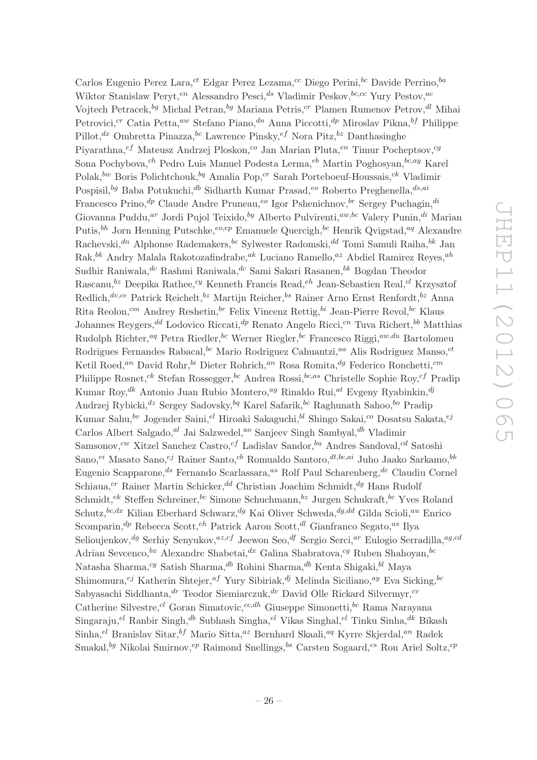Carlos Eugenio Perez Lara,<sup>ct</sup> Edgar Perez Lezama,<sup>cc</sup> Diego Perini,<sup>bc</sup> Davide Perrino,<sup>ba</sup> Wiktor Stanislaw Peryt, <sup>en</sup> Alessandro Pesci, <sup>ds</sup> Vladimir Peskov,  $^{bc,cc}$  Yury Pestov,  $^{ac}$ Vojtech Petracek, <sup>bg</sup> Michal Petran, <sup>bg</sup> Mariana Petris, <sup>cr</sup> Plamen Rumenov Petrov, <sup>dl</sup> Mihai Petrovici,<sup>cr</sup> Catia Petta,<sup>aw</sup> Stefano Piano,<sup>dn</sup> Anna Piccotti,<sup>dp</sup> Miroslav Pikna,<sup>bf</sup> Philippe Pillot,<sup>dx</sup> Ombretta Pinazza, <sup>bc</sup> Lawrence Pinsky, <sup>ef</sup> Nora Pitz, <sup>bz</sup> Danthasinghe Piyarathna,<sup>ef</sup> Mateusz Andrzej Ploskon,<sup>co</sup> Jan Marian Pluta,<sup>en</sup> Timur Pocheptsov,<sup>cg</sup> Sona Pochybova,  $ch$  Pedro Luis Manuel Podesta Lerma,  $eb$  Martin Poghosyan,  $bc, ay$  Karel Polak, <sup>bw</sup> Boris Polichtchouk, <sup>bq</sup> Amalia Pop,<sup>cr</sup> Sarah Porteboeuf-Houssais, <sup>ck</sup> Vladimir Pospisil, <sup>bg</sup> Baba Potukuchi, <sup>db</sup> Sidharth Kumar Prasad, <sup>eo</sup> Roberto Preghenella, <sup>ds, ai</sup> Francesco Prino,  ${}^{dp}$  Claude Andre Pruneau,  ${}^{eo}$  Igor Pshenichnov,  ${}^{br}$  Sergey Puchagin,  ${}^{di}$ Giovanna Puddu,<sup>ar</sup> Jordi Pujol Teixido, <sup>by</sup> Alberto Pulvirenti, <sup>aw, bc</sup> Valery Punin, <sup>di</sup> Marian Putis, <sup>bh</sup> Jorn Henning Putschke, <sup>eo,ep</sup> Emanuele Quercigh, <sup>bc</sup> Henrik Qvigstad, <sup>aq</sup> Alexandre Rachevski, $\binom{dn}{n}$  Alphonse Rademakers,  $\binom{bc}{n}$  Sylwester Radomski,  $\binom{dd}{n}$  Tomi Samuli Raiha,  $\binom{bk}{n}$  Jan Rak, <sup>bk</sup> Andry Malala Rakotozafindrabe,<sup>ak</sup> Luciano Ramello,<sup>az</sup> Abdiel Ramirez Reyes,<sup>ah</sup> Sudhir Raniwala,  $dc$  Rashmi Raniwala,  $dc$  Sami Sakari Rasanen,  $bk$  Bogdan Theodor Rascanu, <sup>bz</sup> Deepika Rathee,<sup>cy</sup> Kenneth Francis Read,<sup>ch</sup> Jean-Sebastien Real,<sup>cl</sup> Krzysztof Redlich,  $dv,ce$  Patrick Reichelt,  $bz$  Martijn Reicher,  $bs$  Rainer Arno Ernst Renfordt,  $bz$  Anna Rita Reolon,<sup>cm</sup> Andrey Reshetin, <sup>br</sup> Felix Vincenz Rettig, <sup>bi</sup> Jean-Pierre Revol, <sup>bc</sup> Klaus Johannes Reygers,<sup>dd</sup> Lodovico Riccati,<sup>dp</sup> Renato Angelo Ricci,<sup>cn</sup> Tuva Richert,<sup>bb</sup> Matthias Rudolph Richter,<sup>aq</sup> Petra Riedler, <sup>bc</sup> Werner Riegler, <sup>bc</sup> Francesco Riggi, <sup>aw, du</sup> Bartolomeu Rodrigues Fernandes Rabacal, <sup>bc</sup> Mario Rodriguez Cahuantzi, <sup>aa</sup> Alis Rodriguez Manso, <sup>ct</sup> Ketil Roed,<sup>an</sup> David Rohr, <sup>hi</sup> Dieter Rohrich, <sup>an</sup> Rosa Romita, <sup>dg</sup> Federico Ronchetti, <sup>cm</sup> Philippe Rosnet,<sup>ck</sup> Stefan Rossegger,<sup>bc</sup> Andrea Rossi,<sup>bc,as</sup> Christelle Sophie Roy,<sup>cf</sup> Pradip Kumar Roy,<sup>dk</sup> Antonio Juan Rubio Montero,<sup>ag</sup> Rinaldo Rui,<sup>at</sup> Evgeny Ryabinkin,<sup>dj</sup> Andrzej Rybicki, dz Sergey Sadovsky,  $bq$  Karel Safarik,  $bc$  Raghunath Sahoo,  $bq$  Pradip Kumar Sahu, $^{bv}$  Jogender Saini, $^{el}$  Hiroaki Sakaguchi, $^{bl}$  Shingo Sakai, $^{co}$  Dosatsu Sakata, $^{ej}$ Carlos Albert Salgado,<sup>al</sup> Jai Salzwedel,<sup>ao</sup> Sanjeev Singh Sambyal,<sup>db</sup> Vladimir Samsonov, $c^w$  Xitzel Sanchez Castro, ${}^{cf}$  Ladislav Sandor, ${}^{bu}$  Andres Sandoval, ${}^{cd}$  Satoshi Sano,  $e^i$  Masato Sano,  $e^j$  Rainer Santo,  $e^b$  Romualdo Santoro,  $dt$ ,  $bc$ ,  $ai$  Juho Jaako Sarkamo,  $b^k$ Eugenio Scapparone, <sup>ds</sup> Fernando Scarlassara, <sup>as</sup> Rolf Paul Scharenberg, <sup>de</sup> Claudiu Cornel Schiaua,<sup>cr</sup> Rainer Martin Schicker,<sup>dd</sup> Christian Joachim Schmidt,<sup>dg</sup> Hans Rudolf Schmidt,  $e^{kt}$  Steffen Schreiner,  $e^{kt}$  Simone Schuchmann,  $e^{kt}$  Jurgen Schukraft,  $e^{kt}$  Yves Roland Schutz,  $bc, dx$  Kilian Eberhard Schwarz,  $dg$  Kai Oliver Schweda,  $dg, dd$  Gilda Scioli,  $au$  Enrico Scomparin, ${}^{dp}$  Rebecca Scott, ${}^{eh}$  Patrick Aaron Scott, ${}^{dl}$  Gianfranco Segato, ${}^{as}$  Ilya Selioujenkov, <sup>dg</sup> Serhiy Senyukov,  $a^{z,cf}$  Jeewon Seo, <sup>df</sup> Sergio Serci,  $a^r$  Eulogio Serradilla,  $a$ Adrian Sevcenco,  ${}^{bx}$  Alexandre Shabetai,  ${}^{dx}$  Galina Shabratova,  ${}^{cg}$  Ruben Shahoyan,  ${}^{bc}$ Natasha Sharma, $^{cy}$  Satish Sharma, $^{db}$  Rohini Sharma, $^{db}$  Kenta Shigaki, $^{bl}$  Maya Shimomura,<sup>ej</sup> Katherin Shtejer,<sup>af</sup> Yury Sibiriak,<sup>dj</sup> Melinda Siciliano,<sup>ay</sup> Eva Sicking,<sup>bc</sup> Sabyasachi Siddhanta, $^{dr}$  Teodor Siemiarczuk, $^{dv}$  David Olle Rickard Silvermyr, $^{cv}$ Catherine Silvestre,<sup>cl</sup> Goran Simatovic,<sup>cc,dh</sup> Giuseppe Simonetti,<sup>bc</sup> Rama Narayana Singaraju, $e^{l}$  Ranbir Singh, $d^{b}$  Subhash Singha, $e^{l}$  Vikas Singhal, $e^{l}$  Tinku Sinha, $d^{k}$  Bikash Sinha,  $e^{l}$  Branislav Sitar,  $^{bf}$  Mario Sitta, $^{az}$  Bernhard Skaali, $^{aq}$  Kyrre Skjerdal, $^{an}$  Radek Smakal, <sup>bg</sup> Nikolai Smirnov, <sup>ep</sup> Raimond Snellings, <sup>bs</sup> Carsten Sogaard, <sup>cs</sup> Ron Ariel Soltz, <sup>cp</sup>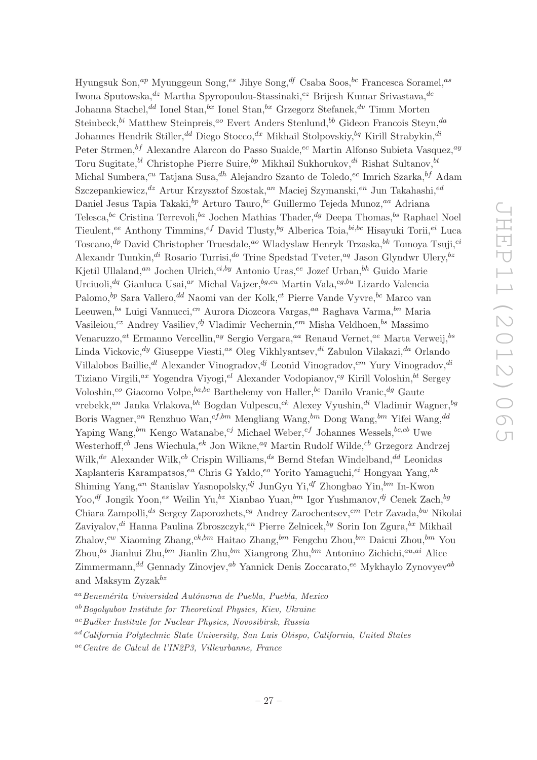Hyungsuk Son,<sup>ap</sup> Myunggeun Song,<sup>es</sup> Jihye Song,<sup>df</sup> Csaba Soos,<sup>bc</sup> Francesca Soramel,<sup>as</sup> Iwona Sputowska,  $dz$  Martha Spyropoulou-Stassinaki,  $cz$  Brijesh Kumar Srivastava,  $de$ Johanna Stachel,<sup>dd</sup> Ionel Stan,<sup>bx</sup> Ionel Stan,<sup>bx</sup> Grzegorz Stefanek,<sup>dv</sup> Timm Morten Steinbeck,<sup>bi</sup> Matthew Steinpreis,<sup>ao</sup> Evert Anders Stenlund,<sup>bb</sup> Gideon Francois Steyn,<sup>da</sup> Johannes Hendrik Stiller, <sup>dd</sup> Diego Stocco, <sup>dx</sup> Mikhail Stolpovskiy, <sup>bq</sup> Kirill Strabykin, <sup>di</sup> Peter Strmen, <sup>bf</sup> Alexandre Alarcon do Passo Suaide, <sup>ec</sup> Martin Alfonso Subieta Vasquez, <sup>ay</sup> Toru Sugitate, <sup>bl</sup> Christophe Pierre Suire, <sup>bp</sup> Mikhail Sukhorukov, <sup>di</sup> Rishat Sultanov, <sup>bt</sup> Michal Sumbera,<sup>cu</sup> Tatjana Susa,<sup>dh</sup> Alejandro Szanto de Toledo,<sup>ec</sup> Imrich Szarka, <sup>bf</sup> Adam Szczepankiewicz,  $^{dz}$  Artur Krzysztof Szostak,  $^{an}$  Maciej Szymanski,  $^{en}$  Jun Takahashi,  $^{ed}$ Daniel Jesus Tapia Takaki,  $b^p$  Arturo Tauro,  $b^c$  Guillermo Tejeda Munoz,  $a^a$  Adriana Telesca, <sup>bc</sup> Cristina Terrevoli, <sup>ba</sup> Jochen Mathias Thader, <sup>dg</sup> Deepa Thomas, <sup>bs</sup> Raphael Noel Tieulent, <sup>ee</sup> Anthony Timmins, <sup>ef</sup> David Tlusty, <sup>bg</sup> Alberica Toia, <sup>bi, bc</sup> Hisayuki Torii, <sup>ei</sup> Luca Toscano,  ${}^{dp}$  David Christopher Truesdale,  ${}^{ao}$  Wladyslaw Henryk Trzaska, ${}^{bk}$ Tomoya Tsuji,  ${}^{ei}$ Alexandr Tumkin,  $di$  Rosario Turrisi,  $d^o$  Trine Spedstad Tveter,  $a^q$  Jason Glyndwr Ulery,  $b^z$ Kjetil Ullaland,<sup>an</sup> Jochen Ulrich,<sup>ci,by</sup> Antonio Uras,<sup>ee</sup> Jozef Urban, <sup>bh</sup> Guido Marie Urciuoli, <sup>dq</sup> Gianluca Usai,<sup>ar</sup> Michal Vajzer, <sup>bg,cu</sup> Martin Vala, c<sup>g,bu</sup> Lizardo Valencia Palomo,  $b^p$  Sara Vallero, <sup>dd</sup> Naomi van der Kolk, <sup>ct</sup> Pierre Vande Vyvre,  $b^c$  Marco van Leeuwen, <sup>bs</sup> Luigi Vannucci, <sup>cn</sup> Aurora Diozcora Vargas, <sup>aa</sup> Raghava Varma, <sup>bn</sup> Maria Vasileiou,<sup>cz</sup> Andrey Vasiliev,<sup>dj</sup> Vladimir Vechernin,<sup>em</sup> Misha Veldhoen, <sup>bs</sup> Massimo Venaruzzo,  $a^t$  Ermanno Vercellin,  $a^y$  Sergio Vergara,  $a^a$  Renaud Vernet,  $a^e$  Marta Verweij,  $b^s$ Linda Vickovic,  $dy$  Giuseppe Viesti, as Oleg Vikhlyantsev,  $di$  Zabulon Vilakazi,  $da$  Orlando Villalobos Baillie, <sup>di</sup> Alexander Vinogradov,  $\phi$ <sup>i</sup> Leonid Vinogradov,  $e^{im}$  Yury Vinogradov,  $\phi$ <sup>i</sup> Tiziano Virgili,<sup>ax</sup> Yogendra Viyogi,<sup>el</sup> Alexander Vodopianov,<sup>cg</sup> Kirill Voloshin,<sup>bt</sup> Sergey Voloshin, <sup>eo</sup> Giacomo Volpe, <sup>ba, bc</sup> Barthelemy von Haller, <sup>bc</sup> Danilo Vranic, <sup>dg</sup> Gaute vrebekk,<sup>an</sup> Janka Vrlakova, <sup>bh</sup> Bogdan Vulpescu, <sup>ck</sup> Alexey Vyushin, <sup>di</sup> Vladimir Wagner, <sup>bg</sup> Boris Wagner,<sup>an</sup> Renzhuo Wan,<sup>cf,bm</sup> Mengliang Wang,<sup>bm</sup> Dong Wang,<sup>bm</sup> Yifei Wang,<sup>dd</sup> Yaping Wang, <sup>bm</sup> Kengo Watanabe, <sup>ej</sup> Michael Weber, <sup>ef</sup> Johannes Wessels, <sup>bc,cb</sup> Uwe Westerhoff, $c^b$  Jens Wiechula, $e^k$  Jon Wikne,<sup>aq</sup> Martin Rudolf Wilde, $c^b$  Grzegorz Andrzej Wilk,  $dv$  Alexander Wilk,  $cb$  Crispin Williams,  $ds$  Bernd Stefan Windelband,  $dd$  Leonidas Xaplanteris Karampatsos, <sup>ea</sup> Chris G Yaldo, <sup>eo</sup> Yorito Yamaguchi, <sup>ei</sup> Hongyan Yang, <sup>ak</sup> Shiming Yang,<sup>an</sup> Stanislav Yasnopolsky,<sup>dj</sup> JunGyu Yi,<sup>df</sup> Zhongbao Yin,<sup>bm</sup> In-Kwon Yoo,<sup>df</sup> Jongik Yoon,<sup>es</sup> Weilin Yu,<sup>bz</sup> Xianbao Yuan, <sup>bm</sup> Igor Yushmanov, <sup>dj</sup> Cenek Zach, <sup>bg</sup> Chiara Zampolli, <sup>ds</sup> Sergey Zaporozhets,<sup>cg</sup> Andrey Zarochentsev,<sup>em</sup> Petr Zavada, <sup>bw</sup> Nikolai Zaviyalov,<sup>di</sup> Hanna Paulina Zbroszczyk,<sup>en</sup> Pierre Zelnicek, <sup>by</sup> Sorin Ion Zgura, <sup>bx</sup> Mikhail Zhalov, $c^w$  Xiaoming Zhang, $^{ck,bm}$  Haitao Zhang, $^{bm}$ Fengchu Zhou, $^{bm}$  Daicui Zhou, $^{bm}$  You Zhou, $^{bs}$  Jianhui Zhu, $^{bm}$  Jianlin Zhu, $^{bm}$  Xiangrong Zhu, $^{bm}$  Antonino Zichichi, $^{au,ai}$  Alice Zimmermann,<sup>dd</sup> Gennady Zinovjev,<sup>ab</sup> Yannick Denis Zoccarato,<sup>ee</sup> Mykhaylo Zynovyev<sup>ab</sup> and Maksym Zyzak $^{bz}$ 

- aa Benemérita Universidad Autónoma de Puebla, Puebla, Mexico
- $a<sup>b</sup>$  Bogolyubov Institute for Theoretical Physics, Kiev, Ukraine
- acBudker Institute for Nuclear Physics, Novosibirsk, Russia
- adCalifornia Polytechnic State University, San Luis Obispo, California, United States
- aeCentre de Calcul de l'IN2P3, Villeurbanne, France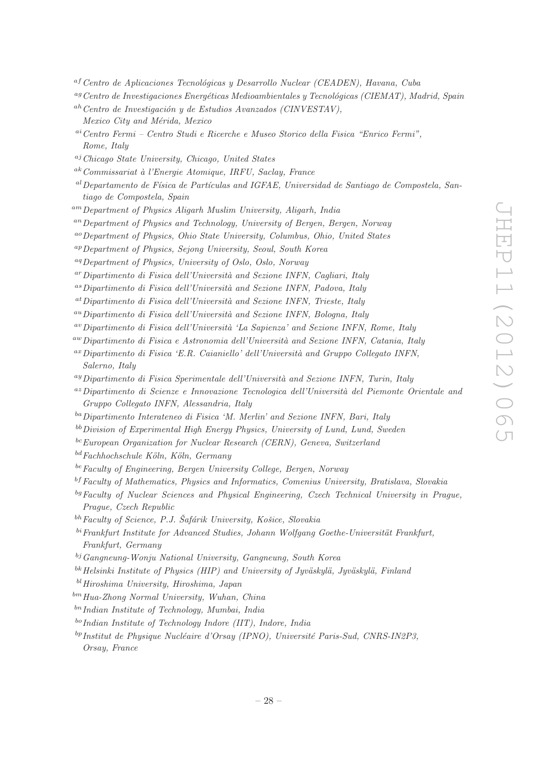- $a<sup>f</sup>Centro de Aplicaciones Tecnológicas y Desarrollo Nuclear (CEADER), Havana, Cuba$
- <sup>ag</sup>Centro de Investigaciones Energéticas Medioambientales y Tecnológicas (CIEMAT), Madrid, Spain
- $a<sup>h</sup>Centro de Investigación y de Estudios Avanzados (CINVESTAV),$ Mexico City and Mérida, Mexico
- aiCentro Fermi Centro Studi e Ricerche e Museo Storico della Fisica "Enrico Fermi", Rome, Italy
- $a_j$ Chicago State University, Chicago, United States
- $a<sup>k</sup> Commissariat$  à l'Energie Atomique, IRFU, Saclay, France
- $a<sup>l</sup> Departmento de Física de Partículas and IGFAE, Universidad de Santiago de Compostela, San$ tiago de Compostela, Spain
- amDepartment of Physics Aligarh Muslim University, Aligarh, India
- $a_n$  Department of Physics and Technology, University of Bergen, Bergen, Norway
- aoDepartment of Physics, Ohio State University, Columbus, Ohio, United States
- apDepartment of Physics, Sejong University, Seoul, South Korea
- aqDepartment of Physics, University of Oslo, Oslo, Norway
- $a<sup>ar</sup> Dipartimento$  di Fisica dell'Università and Sezione INFN, Cagliari, Italy
- $a<sup>as</sup> Dipartimento di Fisica dell'Università and Sezione INFN, Padova, Italy$
- $a$ <sup>t</sup> Dipartimento di Fisica dell'Università and Sezione INFN, Trieste, Italy
- $a^{\mu}$ Dipartimento di Fisica dell'Università and Sezione INFN, Bologna, Italy
- $a^{\nu}$ Dipartimento di Fisica dell'Università 'La Sapienza' and Sezione INFN, Rome, Italy
- $a w$ Dipartimento di Fisica e Astronomia dell'Università and Sezione INFN, Catania, Italy
- $a x Dipartimento di Fisica 'E.R. Caianiello' dell'Università and Gruppo Collegeato INFN,$ Salerno, Italy
- $a<sup>y</sup>$  Dipartimento di Fisica Sperimentale dell'Università and Sezione INFN, Turin, Italy
- $a^2$ Dipartimento di Scienze e Innovazione Tecnologica dell'Università del Piemonte Orientale and Gruppo Collegato INFN, Alessandria, Italy
- ba Dipartimento Interateneo di Fisica 'M. Merlin' and Sezione INFN, Bari, Italy
- bbDivision of Experimental High Energy Physics, University of Lund, Lund, Sweden
- bcEuropean Organization for Nuclear Research (CERN), Geneva, Switzerland

 $b$ <sup>d</sup>Fachhochschule Köln, Köln, Germany

- be Faculty of Engineering, Bergen University College, Bergen, Norway
- $^{bf}$  Faculty of Mathematics, Physics and Informatics, Comenius University, Bratislava, Slovakia
- $^{bg}Faculty$  of Nuclear Sciences and Physical Engineering, Czech Technical University in Prague, Prague, Czech Republic
- $^{bh}$  Faculty of Science, P.J. Šafárik University, Košice, Slovakia
- $b^i$  Frankfurt Institute for Advanced Studies, Johann Wolfgang Goethe-Universität Frankfurt, Frankfurt, Germany
- bj Gangneung-Wonju National University, Gangneung, South Korea
- $\mu$ <sup>bk</sup> Helsinki Institute of Physics (HIP) and University of Jyväskylä, Jyväskylä, Finland
- blHiroshima University, Hiroshima, Japan
- $^{bm}$ Hua-Zhong Normal University, Wuhan, China
- $^{bn}$ Indian Institute of Technology, Mumbai, India
- boIndian Institute of Technology Indore (IIT), Indore, India
- $^{bp}$ Institut de Physique Nucléaire d'Orsay (IPNO), Université Paris-Sud, CNRS-IN2P3. Orsay, France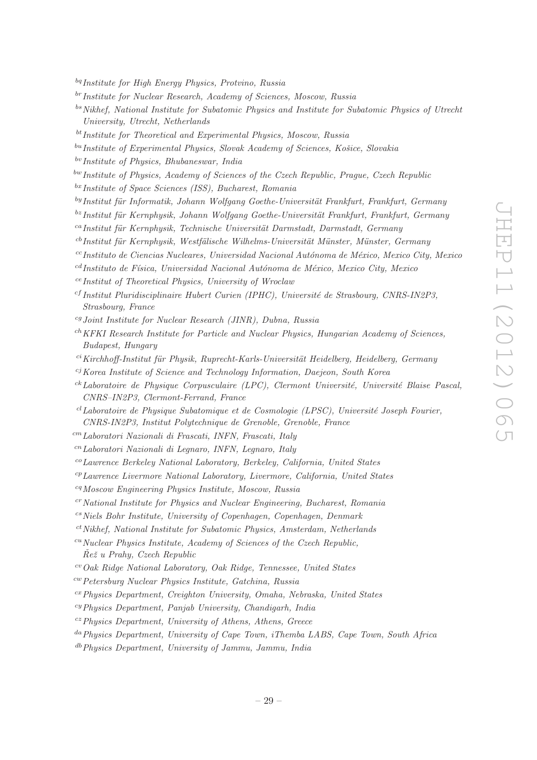- bqInstitute for High Energy Physics, Protvino, Russia
- brInstitute for Nuclear Research, Academy of Sciences, Moscow, Russia
- bs Nikhef, National Institute for Subatomic Physics and Institute for Subatomic Physics of Utrecht University, Utrecht, Netherlands
- $<sup>bt</sup> Institute for Theoretical and Experimental Physics, Moscow, Russia$ </sup>
- $^{bu}$ Institute of Experimental Physics, Slovak Academy of Sciences, Košice, Slovakia
- bvInstitute of Physics, Bhubaneswar, India
- bwInstitute of Physics, Academy of Sciences of the Czech Republic, Prague, Czech Republic
- bxInstitute of Space Sciences (ISS), Bucharest, Romania
- $^{by}$ Institut für Informatik, Johann Wolfgang Goethe-Universität Frankfurt, Frankfurt, Germany
- $h^2$ Institut für Kernphysik, Johann Wolfgang Goethe-Universität Frankfurt, Frankfurt, Germany
- $c^{\alpha}$ Institut für Kernphysik, Technische Universität Darmstadt, Darmstadt, Germany
- $c<sup>b</sup>$ Institut für Kernphysik, Westfälische Wilhelms-Universität Münster, Münster, Germany
- $cc$ Instituto de Ciencias Nucleares, Universidad Nacional Autónoma de México, Mexico City, Mexico
- $c<sup>d</sup>$ Instituto de Física, Universidad Nacional Autónoma de México, Mexico City, Mexico
- $ceInstitut$  of Theoretical Physics, University of Wroclaw
- $^{cf}$ Institut Pluridisciplinaire Hubert Curien (IPHC), Université de Strasbourg, CNRS-IN2P3, Strasbourg, France
- cgJoint Institute for Nuclear Research (JINR), Dubna, Russia
- $ch$ KFKI Research Institute for Particle and Nuclear Physics, Hungarian Academy of Sciences, Budapest, Hungary
- $ci Kirchhoff-Institut für Physik, Ruprecht-Karls-Universität Heidelberg, Heidelberg, Germany$
- $c_j$ Korea Institute of Science and Technology Information, Daejeon, South Korea
- $c<sup>k</sup> Laboratoire de Physique Corpusculaire (LPC), Clermont Université, Université, Blaise Pascal, 1999)$ CNRS–IN2P3, Clermont-Ferrand, France
- $^{cl}$ Laboratoire de Physique Subatomique et de Cosmologie (LPSC), Université Joseph Fourier, CNRS-IN2P3, Institut Polytechnique de Grenoble, Grenoble, France
- cmLaboratori Nazionali di Frascati, INFN, Frascati, Italy
- $c<sup>n</sup>$ Laboratori Nazionali di Legnaro, INFN, Legnaro, Italy
- $^{co}$ Lawrence Berkeley National Laboratory, Berkeley, California, United States
- cpLawrence Livermore National Laboratory, Livermore, California, United States
- cqMoscow Engineering Physics Institute, Moscow, Russia
- crNational Institute for Physics and Nuclear Engineering, Bucharest, Romania
- $c<sup>s</sup> Niels Bohr Institute, University of Copenhagen, Copenhagen, Denmark$
- $c$ <sup>t</sup>Nikhef, National Institute for Subatomic Physics, Amsterdam, Netherlands
- $c<sup>u</sup> Nuclear Physics Institute, Academy of Sciences of the Czech Republic.$  $\dot{Re}z$  u Prahy, Czech Republic
- $c^{cv}$ Oak Ridge National Laboratory, Oak Ridge, Tennessee, United States
- cwPetersburg Nuclear Physics Institute, Gatchina, Russia
- $c^x$ Physics Department, Creighton University, Omaha, Nebraska, United States
- cyPhysics Department, Panjab University, Chandigarh, India
- $c^2$ Physics Department, University of Athens, Athens, Greece
- daPhysics Department, University of Cape Town, iThemba LABS, Cape Town, South Africa
- dbPhysics Department, University of Jammu, Jammu, India